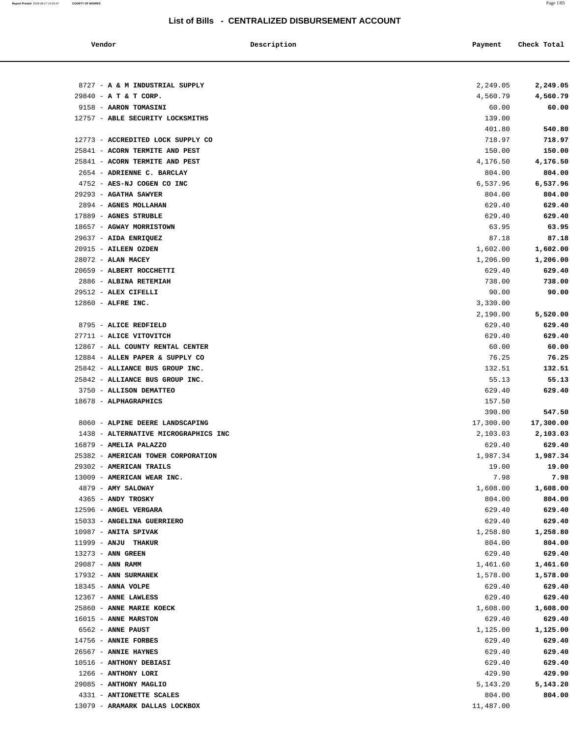**Report Printed** 2018-08-17 14:16:47 **COUNTY OF MORRIS** Page 1/85

### **List of Bills - CENTRALIZED DISBURSEMENT ACCOUNT**

 $\overline{\phantom{0}}$ 

| Vendor                                     | Description | Payment          | Check Total          |
|--------------------------------------------|-------------|------------------|----------------------|
| 8727 - A & M INDUSTRIAL SUPPLY             |             | 2,249.05         |                      |
| 29840 - A T & T CORP.                      |             | 4,560.79         | 2,249.05<br>4,560.79 |
| 9158 - AARON TOMASINI                      |             | 60.00            | 60.00                |
| 12757 - ABLE SECURITY LOCKSMITHS           |             | 139.00           |                      |
|                                            |             | 401.80           | 540.80               |
| 12773 - ACCREDITED LOCK SUPPLY CO          |             | 718.97           | 718.97               |
| 25841 - ACORN TERMITE AND PEST             |             | 150.00           | 150.00               |
| 25841 - ACORN TERMITE AND PEST             |             | 4,176.50         | 4,176.50             |
| 2654 - ADRIENNE C. BARCLAY                 |             | 804.00           | 804.00               |
| 4752 - AES-NJ COGEN CO INC                 |             | 6,537.96         | 6,537.96             |
| 29293 - AGATHA SAWYER                      |             | 804.00           | 804.00               |
| 2894 - AGNES MOLLAHAN                      |             | 629.40           | 629.40               |
| 17889 - AGNES STRUBLE                      |             | 629.40           | 629.40               |
| 18657 - AGWAY MORRISTOWN                   |             | 63.95            | 63.95                |
| 29637 - AIDA ENRIQUEZ                      |             | 87.18            | 87.18                |
| 20915 - AILEEN OZDEN                       |             | 1,602.00         | 1,602.00             |
| 28072 - ALAN MACEY                         |             | 1,206.00         | 1,206.00             |
| 20659 - ALBERT ROCCHETTI                   |             | 629.40           | 629.40               |
| 2886 - ALBINA RETEMIAH                     |             | 738.00           | 738.00               |
| 29512 - ALEX CIFELLI                       |             | 90.00            | 90.00                |
| 12860 - ALFRE INC.                         |             | 3,330.00         |                      |
|                                            |             | 2,190.00         | 5,520.00             |
| 8795 - ALICE REDFIELD                      |             | 629.40           | 629.40               |
| 27711 - ALICE VITOVITCH                    |             | 629.40           | 629.40               |
| 12867 - ALL COUNTY RENTAL CENTER           |             | 60.00            | 60.00                |
| 12884 - ALLEN PAPER & SUPPLY CO            |             | 76.25            | 76.25                |
| 25842 - ALLIANCE BUS GROUP INC.            |             | 132.51           | 132.51               |
| 25842 - ALLIANCE BUS GROUP INC.            |             | 55.13            | 55.13                |
| 3750 - ALLISON DEMATTEO                    |             | 629.40           | 629.40               |
| 18678 - ALPHAGRAPHICS                      |             | 157.50           |                      |
|                                            |             | 390.00           | 547.50               |
| 8060 - ALPINE DEERE LANDSCAPING            |             | 17,300.00        | 17,300.00            |
| 1438 - ALTERNATIVE MICROGRAPHICS INC       |             | 2,103.03         | 2,103.03             |
| 16879 - AMELIA PALAZZO                     |             | 629.40           | 629.40               |
| 25382 - AMERICAN TOWER CORPORATION         |             | 1,987.34         | 1,987.34             |
| 29302 - AMERICAN TRAILS                    |             | 19.00            | 19.00                |
| 13009 - AMERICAN WEAR INC.                 |             | 7.98             | 7.98                 |
| 4879 - AMY SALOWAY                         |             | 1,608.00         | 1,608.00             |
| 4365 - ANDY TROSKY                         |             | 804.00           | 804.00               |
| 12596 - ANGEL VERGARA                      |             | 629.40           | 629.40               |
| 15033 - ANGELINA GUERRIERO                 |             | 629.40           | 629.40               |
| $10987$ - ANITA SPIVAK                     |             | 1,258.80         | 1,258.80             |
| 11999 - ANJU THAKUR<br>$13273$ - ANN GREEN |             | 804.00<br>629.40 | 804.00<br>629.40     |
| 29087 - ANN RAMM                           |             | 1,461.60         |                      |
| 17932 - ANN SURMANEK                       |             | 1,578.00         | 1,461.60<br>1,578.00 |
| $18345$ - ANNA VOLPE                       |             | 629.40           | 629.40               |
| $12367$ - ANNE LAWLESS                     |             | 629.40           | 629.40               |
| 25860 - ANNE MARIE KOECK                   |             | 1,608.00         | 1,608.00             |
| 16015 - ANNE MARSTON                       |             | 629.40           | 629.40               |
| 6562 - ANNE PAUST                          |             | 1,125.00         | 1,125.00             |
| 14756 - ANNIE FORBES                       |             | 629.40           | 629.40               |
| 26567 - ANNIE HAYNES                       |             | 629.40           | 629.40               |
| 10516 - ANTHONY DEBIASI                    |             | 629.40           | 629.40               |
| 1266 - ANTHONY LORI                        |             | 429.90           | 429.90               |
| 29085 - ANTHONY MAGLIO                     |             | 5,143.20         | 5,143.20             |
| 4331 - ANTIONETTE SCALES                   |             | 804.00           | 804.00               |
| 13079 - ARAMARK DALLAS LOCKBOX             |             | 11,487.00        |                      |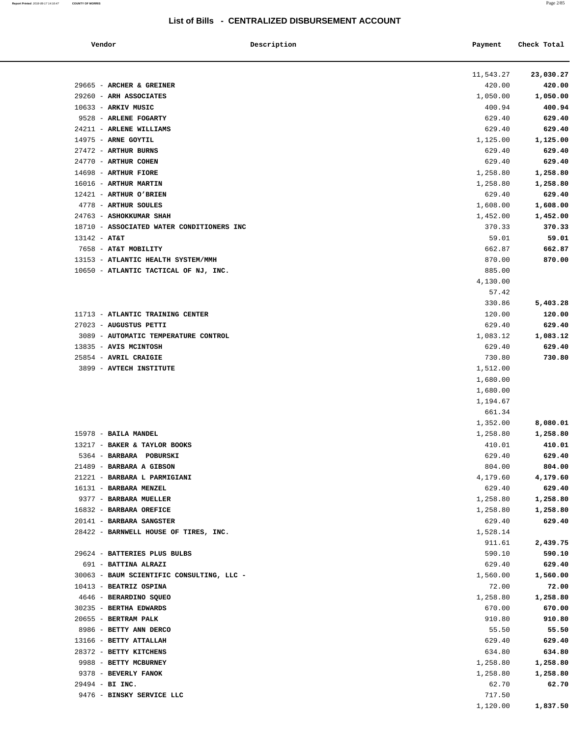| Vendor                                               | Description | Payment            | Check Total        |
|------------------------------------------------------|-------------|--------------------|--------------------|
|                                                      |             | 11,543.27          | 23,030.27          |
| 29665 - ARCHER & GREINER                             |             | 420.00             | 420.00             |
| 29260 - ARH ASSOCIATES                               |             | 1,050.00           | 1,050.00           |
| 10633 - ARKIV MUSIC                                  |             | 400.94             | 400.94             |
| 9528 - ARLENE FOGARTY                                |             | 629.40             | 629.40             |
| 24211 - ARLENE WILLIAMS                              |             | 629.40             | 629.40             |
| 14975 - ARNE GOYTIL                                  |             | 1,125.00           | 1,125.00           |
| 27472 - ARTHUR BURNS                                 |             | 629.40             | 629.40             |
| 24770 - ARTHUR COHEN                                 |             | 629.40             | 629.40             |
| 14698 - ARTHUR FIORE                                 |             | 1,258.80           | 1,258.80           |
| 16016 - ARTHUR MARTIN                                |             | 1,258.80           | 1,258.80           |
| 12421 - ARTHUR O'BRIEN                               |             | 629.40             | 629.40             |
| 4778 - ARTHUR SOULES                                 |             | 1,608.00           | 1,608.00           |
| 24763 - ASHOKKUMAR SHAH                              |             | 1,452.00           | 1,452.00           |
| 18710 - ASSOCIATED WATER CONDITIONERS INC            |             | 370.33             | 370.33             |
| $13142 - AT&T$                                       |             | 59.01              | 59.01              |
| 7658 - AT&T MOBILITY                                 |             | 662.87             | 662.87             |
| 13153 - ATLANTIC HEALTH SYSTEM/MMH                   |             | 870.00             | 870.00             |
| 10650 - ATLANTIC TACTICAL OF NJ, INC.                |             | 885.00             |                    |
|                                                      |             | 4,130.00           |                    |
|                                                      |             | 57.42              |                    |
|                                                      |             | 330.86             | 5,403.28           |
| 11713 - ATLANTIC TRAINING CENTER                     |             | 120.00             | 120.00             |
| 27023 - AUGUSTUS PETTI                               |             | 629.40             | 629.40             |
| 3089 - AUTOMATIC TEMPERATURE CONTROL                 |             | 1,083.12           | 1,083.12           |
| 13835 - AVIS MCINTOSH                                |             | 629.40             | 629.40             |
| 25854 - AVRIL CRAIGIE                                |             | 730.80             | 730.80             |
| 3899 - AVTECH INSTITUTE                              |             | 1,512.00           |                    |
|                                                      |             | 1,680.00           |                    |
|                                                      |             | 1,680.00           |                    |
|                                                      |             | 1,194.67           |                    |
|                                                      |             | 661.34             |                    |
|                                                      |             | 1,352.00           | 8,080.01           |
| 15978 - BAILA MANDEL<br>13217 - BAKER & TAYLOR BOOKS |             | 1,258.80<br>410.01 | 1,258.80<br>410.01 |
| 5364 - BARBARA POBURSKI                              |             | 629.40             | 629.40             |
| 21489 - BARBARA A GIBSON                             |             | 804.00             | 804.00             |
| 21221 - BARBARA L PARMIGIANI                         |             | 4,179.60           | 4,179.60           |
| 16131 - BARBARA MENZEL                               |             | 629.40             | 629.40             |
| 9377 - BARBARA MUELLER                               |             | 1,258.80           | 1,258.80           |
| 16832 - BARBARA OREFICE                              |             | 1,258.80           | 1,258.80           |
| 20141 - BARBARA SANGSTER                             |             | 629.40             | 629.40             |
| 28422 - BARNWELL HOUSE OF TIRES, INC.                |             | 1,528.14           |                    |
|                                                      |             | 911.61             | 2,439.75           |
| 29624 - BATTERIES PLUS BULBS                         |             | 590.10             | 590.10             |
| 691 - BATTINA ALRAZI                                 |             | 629.40             | 629.40             |
| 30063 - BAUM SCIENTIFIC CONSULTING, LLC -            |             | 1,560.00           | 1,560.00           |
| 10413 - BEATRIZ OSPINA                               |             | 72.00              | 72.00              |
| 4646 - BERARDINO SQUEO                               |             | 1,258.80           | 1,258.80           |
| 30235 - BERTHA EDWARDS                               |             | 670.00             | 670.00             |
| 20655 - BERTRAM PALK                                 |             | 910.80             | 910.80             |
| 8986 - BETTY ANN DERCO                               |             | 55.50              | 55.50              |
| 13166 - BETTY ATTALLAH                               |             | 629.40             | 629.40             |
| 28372 - BETTY KITCHENS                               |             | 634.80             | 634.80             |
| 9988 - BETTY MCBURNEY                                |             | 1,258.80           | 1,258.80           |
| 9378 - BEVERLY FANOK                                 |             | 1,258.80           | 1,258.80           |
| 29494 - BI INC.                                      |             | 62.70              | 62.70              |
| 9476 - BINSKY SERVICE LLC                            |             | 717.50             |                    |
|                                                      |             | 1,120.00           | 1,837.50           |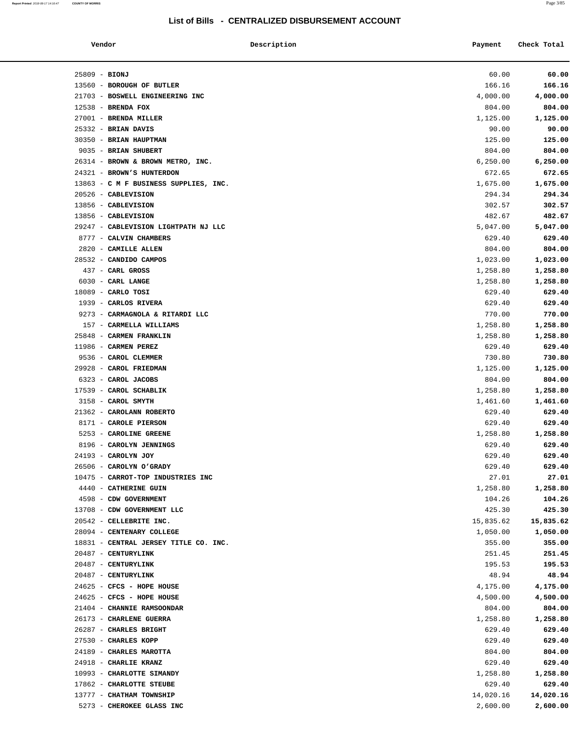| Vendor                                                 | Description | Payment              | Check Total          |
|--------------------------------------------------------|-------------|----------------------|----------------------|
| $25809 - BIONJ$                                        |             | 60.00                | 60.00                |
| 13560 - BOROUGH OF BUTLER                              |             | 166.16               | 166.16               |
| 21703 - BOSWELL ENGINEERING INC                        |             | 4,000.00             | 4,000.00             |
| $12538$ - BRENDA FOX                                   |             | 804.00               | 804.00               |
| 27001 - BRENDA MILLER                                  |             | 1,125.00             | 1,125.00             |
| 25332 - BRIAN DAVIS                                    |             | 90.00                | 90.00                |
| 30350 - BRIAN HAUPTMAN                                 |             | 125.00               | 125.00               |
| 9035 - BRIAN SHUBERT                                   |             | 804.00               | 804.00               |
| 26314 - BROWN & BROWN METRO, INC.                      |             | 6, 250.00            | 6,250.00             |
| 24321 - BROWN'S HUNTERDON                              |             | 672.65               | 672.65               |
| 13863 - C M F BUSINESS SUPPLIES, INC.                  |             | 1,675.00             | 1,675.00             |
| 20526 - CABLEVISION                                    |             | 294.34               | 294.34               |
| 13856 - CABLEVISION                                    |             | 302.57               | 302.57               |
| 13856 - CABLEVISION                                    |             | 482.67               | 482.67               |
| 29247 - CABLEVISION LIGHTPATH NJ LLC                   |             | 5,047.00             | 5,047.00             |
| 8777 - CALVIN CHAMBERS                                 |             | 629.40               | 629.40               |
| 2820 - CAMILLE ALLEN                                   |             | 804.00               | 804.00               |
| 28532 - CANDIDO CAMPOS                                 |             | 1,023.00             | 1,023.00             |
| 437 - CARL GROSS                                       |             | 1,258.80             | 1,258.80             |
| 6030 - CARL LANGE                                      |             | 1,258.80             | 1,258.80             |
| $18089$ - CARLO TOSI                                   |             | 629.40               | 629.40               |
| 1939 - CARLOS RIVERA                                   |             | 629.40               | 629.40               |
| 9273 - CARMAGNOLA & RITARDI LLC                        |             | 770.00               | 770.00               |
| 157 - CARMELLA WILLIAMS                                |             | 1,258.80             | 1,258.80             |
| 25848 - CARMEN FRANKLIN                                |             | 1,258.80             | 1,258.80             |
| 11986 - CARMEN PEREZ                                   |             | 629.40               | 629.40               |
| 9536 - CAROL CLEMMER                                   |             | 730.80               | 730.80               |
| 29928 - CAROL FRIEDMAN                                 |             | 1,125.00             | 1,125.00             |
| 6323 - CAROL JACOBS                                    |             | 804.00               | 804.00               |
| 17539 - CAROL SCHABLIK                                 |             | 1,258.80             | 1,258.80             |
| 3158 - CAROL SMYTH                                     |             | 1,461.60             | 1,461.60             |
| 21362 - CAROLANN ROBERTO                               |             | 629.40               | 629.40               |
| 8171 - CAROLE PIERSON                                  |             | 629.40               | 629.40               |
| 5253 - CAROLINE GREENE                                 |             | 1,258.80             | 1,258.80             |
| 8196 - CAROLYN JENNINGS                                |             | 629.40               | 629.40               |
| 24193 - CAROLYN JOY                                    |             | 629.40               | 629.40               |
| 26506 - CAROLYN O'GRADY                                |             | 629.40               | 629.40               |
| 10475 - CARROT-TOP INDUSTRIES INC                      |             | 27.01                | 27.01                |
| 4440 - CATHERINE GUIN                                  |             | 1,258.80             | 1,258.80             |
| 4598 - CDW GOVERNMENT                                  |             | 104.26               | 104.26               |
| 13708 - CDW GOVERNMENT LLC                             |             | 425.30               | 425.30               |
| 20542 - CELLEBRITE INC.                                |             | 15,835.62            | 15,835.62            |
| 28094 - CENTENARY COLLEGE                              |             | 1,050.00             | 1,050.00             |
| 18831 - CENTRAL JERSEY TITLE CO. INC.                  |             | 355.00               | 355.00               |
| 20487 - CENTURYLINK                                    |             | 251.45               | 251.45               |
| 20487 - CENTURYLINK                                    |             | 195.53               | 195.53               |
| 20487 - CENTURYLINK                                    |             | 48.94                | 48.94                |
| 24625 - CFCS - HOPE HOUSE<br>24625 - CFCS - HOPE HOUSE |             | 4,175.00<br>4,500.00 | 4,175.00<br>4,500.00 |
| 21404 - CHANNIE RAMSOONDAR                             |             | 804.00               | 804.00               |
| 26173 - CHARLENE GUERRA                                |             | 1,258.80             | 1,258.80             |
| 26287 - CHARLES BRIGHT                                 |             | 629.40               | 629.40               |
| 27530 - CHARLES KOPP                                   |             | 629.40               | 629.40               |
| 24189 - CHARLES MAROTTA                                |             | 804.00               | 804.00               |
| 24918 - CHARLIE KRANZ                                  |             | 629.40               | 629.40               |
| 10993 - CHARLOTTE SIMANDY                              |             | 1,258.80             | 1,258.80             |
| 17862 - CHARLOTTE STEUBE                               |             | 629.40               | 629.40               |
| 13777 - CHATHAM TOWNSHIP                               |             | 14,020.16            | 14,020.16            |
| 5273 - CHEROKEE GLASS INC                              |             | 2,600.00             | 2,600.00             |
|                                                        |             |                      |                      |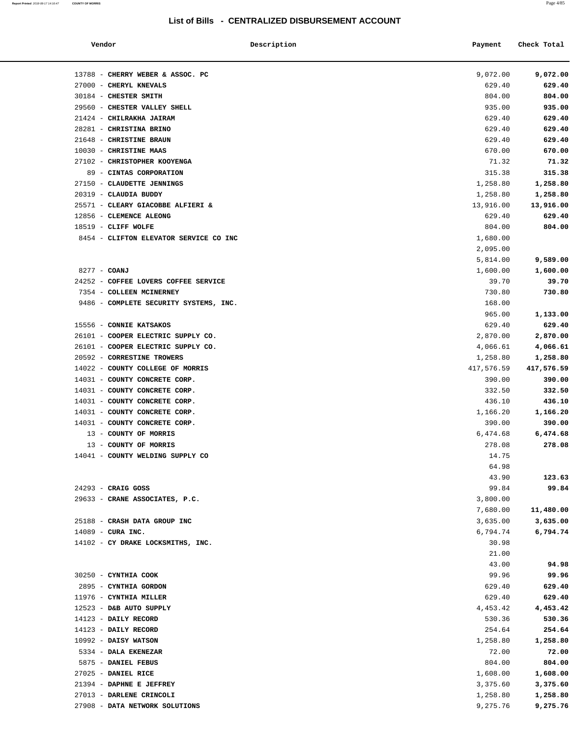$\overline{\phantom{a}}$ 

| Vendor                            | Description                            | Payment    | Check Total |
|-----------------------------------|----------------------------------------|------------|-------------|
| 13788 - CHERRY WEBER & ASSOC. PC  |                                        | 9,072.00   | 9,072.00    |
| 27000 - CHERYL KNEVALS            |                                        | 629.40     | 629.40      |
| 30184 - CHESTER SMITH             |                                        | 804.00     | 804.00      |
| 29560 - CHESTER VALLEY SHELL      |                                        | 935.00     | 935.00      |
| 21424 - CHILRAKHA JAIRAM          |                                        | 629.40     | 629.40      |
| 28281 - CHRISTINA BRINO           |                                        | 629.40     | 629.40      |
| 21648 - CHRISTINE BRAUN           |                                        | 629.40     | 629.40      |
| 10030 - CHRISTINE MAAS            |                                        | 670.00     | 670.00      |
| 27102 - CHRISTOPHER KOOYENGA      |                                        | 71.32      | 71.32       |
| 89 - CINTAS CORPORATION           |                                        | 315.38     | 315.38      |
| 27150 - CLAUDETTE JENNINGS        |                                        | 1,258.80   | 1,258.80    |
| 20319 - CLAUDIA BUDDY             |                                        | 1,258.80   | 1,258.80    |
|                                   | 25571 - CLEARY GIACOBBE ALFIERI &      | 13,916.00  | 13,916.00   |
| 12856 - CLEMENCE ALEONG           |                                        | 629.40     | 629.40      |
| 18519 - CLIFF WOLFE               |                                        | 804.00     | 804.00      |
|                                   | 8454 - CLIFTON ELEVATOR SERVICE CO INC | 1,680.00   |             |
|                                   |                                        | 2,095.00   |             |
|                                   |                                        | 5,814.00   | 9,589.00    |
| 8277 - COANJ                      |                                        | 1,600.00   | 1,600.00    |
|                                   | 24252 - COFFEE LOVERS COFFEE SERVICE   | 39.70      | 39.70       |
| 7354 - COLLEEN MCINERNEY          |                                        | 730.80     | 730.80      |
|                                   | 9486 - COMPLETE SECURITY SYSTEMS, INC. | 168.00     |             |
|                                   |                                        | 965.00     | 1,133.00    |
| 15556 - CONNIE KATSAKOS           |                                        | 629.40     | 629.40      |
|                                   | 26101 - COOPER ELECTRIC SUPPLY CO.     | 2,870.00   | 2,870.00    |
|                                   | 26101 - COOPER ELECTRIC SUPPLY CO.     | 4,066.61   | 4,066.61    |
| 20592 - CORRESTINE TROWERS        |                                        | 1,258.80   | 1,258.80    |
| 14022 - COUNTY COLLEGE OF MORRIS  |                                        | 417,576.59 | 417,576.59  |
| 14031 - COUNTY CONCRETE CORP.     |                                        | 390.00     | 390.00      |
| 14031 - COUNTY CONCRETE CORP.     |                                        | 332.50     | 332.50      |
| 14031 - COUNTY CONCRETE CORP.     |                                        | 436.10     | 436.10      |
| 14031 - COUNTY CONCRETE CORP.     |                                        | 1,166.20   | 1,166.20    |
| 14031 - COUNTY CONCRETE CORP.     |                                        | 390.00     | 390.00      |
| 13 - COUNTY OF MORRIS             |                                        | 6,474.68   | 6,474.68    |
| 13 - COUNTY OF MORRIS             |                                        | 278.08     | 278.08      |
| 14041 - COUNTY WELDING SUPPLY CO  |                                        | 14.75      |             |
|                                   |                                        | 64.98      |             |
|                                   |                                        | 43.90      | 123.63      |
| $24293$ - CRAIG GOSS              |                                        | 99.84      | 99.84       |
| 29633 - CRANE ASSOCIATES, P.C.    |                                        | 3,800.00   |             |
|                                   |                                        | 7,680.00   | 11,480.00   |
| 25188 - CRASH DATA GROUP INC      |                                        | 3,635.00   | 3,635.00    |
| $14089$ - CURA INC.               |                                        | 6,794.74   | 6,794.74    |
| 14102 - CY DRAKE LOCKSMITHS, INC. |                                        | 30.98      |             |
|                                   |                                        | 21.00      |             |
|                                   |                                        | 43.00      | 94.98       |
| 30250 - CYNTHIA COOK              |                                        | 99.96      | 99.96       |
| 2895 - CYNTHIA GORDON             |                                        | 629.40     | 629.40      |
| 11976 - CYNTHIA MILLER            |                                        | 629.40     | 629.40      |
| 12523 - D&B AUTO SUPPLY           |                                        | 4,453.42   | 4,453.42    |
| 14123 - DAILY RECORD              |                                        | 530.36     | 530.36      |
| 14123 - DAILY RECORD              |                                        | 254.64     | 254.64      |
| $10992$ - DAISY WATSON            |                                        | 1,258.80   | 1,258.80    |
| 5334 - DALA EKENEZAR              |                                        | 72.00      | 72.00       |
| 5875 - DANIEL FEBUS               |                                        | 804.00     | 804.00      |
| 27025 - DANIEL RICE               |                                        | 1,608.00   | 1,608.00    |
| 21394 - DAPHNE E JEFFREY          |                                        | 3,375.60   | 3,375.60    |
| 27013 - DARLENE CRINCOLI          |                                        | 1,258.80   | 1,258.80    |
| 27908 - DATA NETWORK SOLUTIONS    |                                        | 9,275.76   | 9,275.76    |
|                                   |                                        |            |             |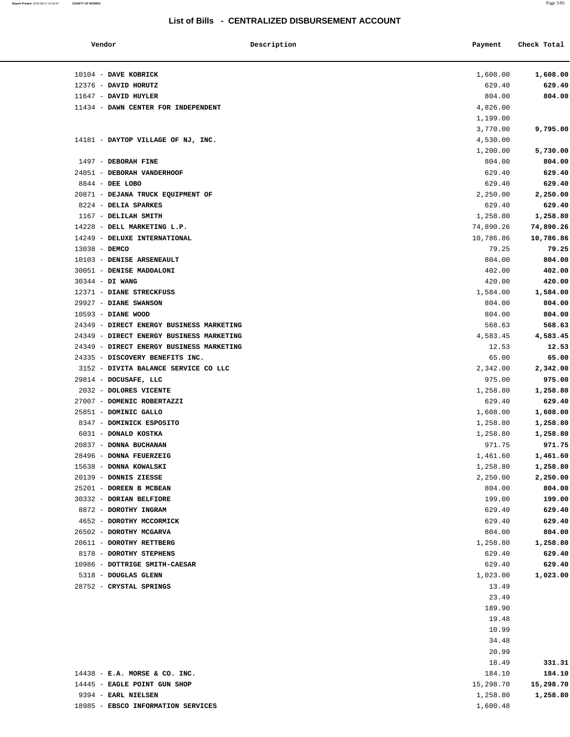#### **Report Printed** 2018-08-17 14:16:47 **COUNTY OF MORRIS** Page 5/85

### **List of Bills - CENTRALIZED DISBURSEMENT ACCOUNT**

| Vendor          | Description                              | Payment   | Check Total |
|-----------------|------------------------------------------|-----------|-------------|
|                 | 10104 - DAVE KOBRICK                     | 1,608.00  | 1,608.00    |
|                 | 12376 - DAVID HORUTZ                     | 629.40    | 629.40      |
|                 | 11647 - DAVID HUYLER                     | 804.00    | 804.00      |
|                 | 11434 - DAWN CENTER FOR INDEPENDENT      | 4,826.00  |             |
|                 |                                          | 1,199.00  |             |
|                 |                                          | 3,770.00  | 9,795.00    |
|                 | 14181 - DAYTOP VILLAGE OF NJ, INC.       | 4,530.00  |             |
|                 |                                          | 1,200.00  | 5,730.00    |
|                 | 1497 - DEBORAH FINE                      | 804.00    | 804.00      |
|                 | 24051 - DEBORAH VANDERHOOF               | 629.40    | 629.40      |
|                 | 8844 - DEE LOBO                          | 629.40    | 629.40      |
|                 | 20871 - DEJANA TRUCK EQUIPMENT OF        | 2,250.00  | 2,250.00    |
|                 | 8224 - DELIA SPARKES                     | 629.40    | 629.40      |
|                 | 1167 - DELILAH SMITH                     | 1,258.80  | 1,258.80    |
|                 | 14228 - DELL MARKETING L.P.              | 74,890.26 | 74,890.26   |
|                 | 14249 - DELUXE INTERNATIONAL             | 10,786.86 | 10,786.86   |
| $13038 -$ DEMCO |                                          | 79.25     | 79.25       |
|                 | 10103 - DENISE ARSENEAULT                | 804.00    | 804.00      |
|                 | 30051 - DENISE MADDALONI                 | 402.00    | 402.00      |
|                 | 30344 - DI WANG                          | 420.00    | 420.00      |
|                 | 12371 - DIANE STRECKFUSS                 | 1,584.00  | 1,584.00    |
|                 | 29927 - DIANE SWANSON                    | 804.00    | 804.00      |
|                 | 10593 - DIANE WOOD                       | 804.00    | 804.00      |
|                 | 24349 - DIRECT ENERGY BUSINESS MARKETING | 568.63    | 568.63      |
|                 | 24349 - DIRECT ENERGY BUSINESS MARKETING | 4,583.45  | 4,583.45    |
|                 | 24349 - DIRECT ENERGY BUSINESS MARKETING | 12.53     | 12.53       |
|                 | 24335 - DISCOVERY BENEFITS INC.          | 65.00     | 65.00       |
|                 | 3152 - DIVITA BALANCE SERVICE CO LLC     | 2,342.00  | 2,342.00    |
|                 | 29814 - DOCUSAFE, LLC                    | 975.00    | 975.00      |
|                 | 2032 - DOLORES VICENTE                   | 1,258.80  | 1,258.80    |
|                 | 27007 - DOMENIC ROBERTAZZI               | 629.40    | 629.40      |
|                 | 25851 - DOMINIC GALLO                    | 1,608.00  | 1,608.00    |
|                 | 8347 - DOMINICK ESPOSITO                 | 1,258.80  | 1,258.80    |
|                 | 6031 - DONALD KOSTKA                     | 1,258.80  | 1,258.80    |
|                 | 20837 - DONNA BUCHANAN                   | 971.75    | 971.75      |
|                 | 28496 - DONNA FEUERZEIG                  | 1,461.60  | 1,461.60    |
|                 | 15638 - DONNA KOWALSKI                   | 1,258.80  | 1,258.80    |
|                 | 20139 - DONNIS ZIESSE                    | 2,250.00  | 2,250.00    |
|                 | 25201 - DOREEN B MCBEAN                  | 804.00    | 804.00      |
|                 | 30332 - DORIAN BELFIORE                  | 199.00    | 199.00      |
|                 | 8872 - DOROTHY INGRAM                    | 629.40    | 629.40      |
|                 | 4652 - DOROTHY MCCORMICK                 | 629.40    | 629.40      |
|                 | 26502 - DOROTHY MCGARVA                  | 804.00    | 804.00      |
|                 | 20611 - DOROTHY RETTBERG                 | 1,258.80  | 1,258.80    |
|                 | 8178 - DOROTHY STEPHENS                  | 629.40    | 629.40      |
|                 | 10986 - DOTTRIGE SMITH-CAESAR            | 629.40    | 629.40      |
|                 | 5318 - DOUGLAS GLENN                     | 1,023.00  | 1,023.00    |
|                 | 28752 - CRYSTAL SPRINGS                  | 13.49     |             |
|                 |                                          | 23.49     |             |
|                 |                                          | 189.90    |             |
|                 |                                          | 19.48     |             |
|                 |                                          | 10.99     |             |
|                 |                                          | 34.48     |             |
|                 |                                          | 20.99     |             |
|                 |                                          | 18.49     | 331.31      |
|                 | $14438$ - E.A. MORSE & CO. INC.          | 184.10    | 184.10      |
|                 | 14445 - EAGLE POINT GUN SHOP             | 15,298.70 | 15,298.70   |
|                 | 9394 - EARL NIELSEN                      | 1,258.80  | 1,258.80    |
|                 | 18985 - EBSCO INFORMATION SERVICES       | 1,600.48  |             |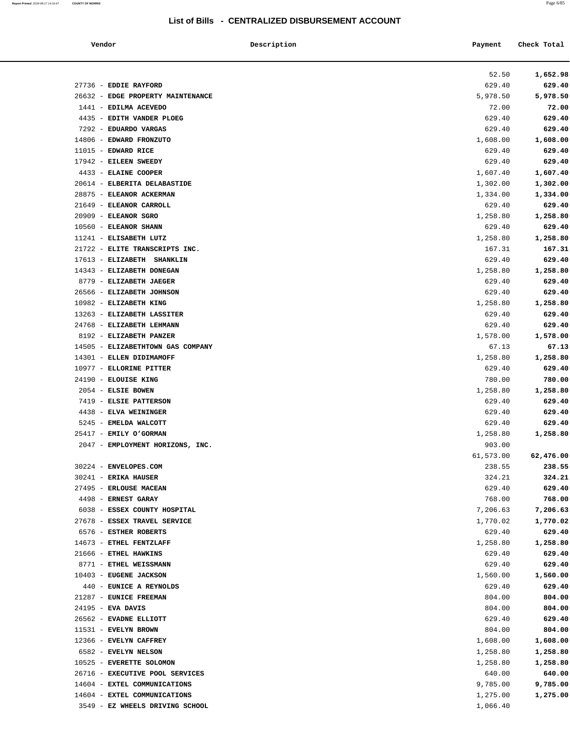**Report Printed** 2018-08-17 14:16:47 **COUNTY OF MORRIS** Page 6/85

### **List of Bills - CENTRALIZED DISBURSEMENT ACCOUNT**

| Vendor                                            | Description | Payment            | Check Total        |
|---------------------------------------------------|-------------|--------------------|--------------------|
|                                                   |             | 52.50              | 1,652.98           |
| 27736 - EDDIE RAYFORD                             |             | 629.40             | 629.40             |
| 26632 - EDGE PROPERTY MAINTENANCE                 |             | 5,978.50           | 5,978.50           |
| 1441 - EDILMA ACEVEDO                             |             | 72.00              | 72.00              |
| 4435 - EDITH VANDER PLOEG                         |             | 629.40             | 629.40             |
| 7292 - EDUARDO VARGAS                             |             | 629.40             | 629.40             |
| 14806 - EDWARD FRONZUTO                           |             | 1,608.00           | 1,608.00           |
| $11015$ - EDWARD RICE                             |             | 629.40             | 629.40             |
| 17942 - EILEEN SWEEDY                             |             | 629.40             | 629.40             |
| 4433 - ELAINE COOPER                              |             | 1,607.40           | 1,607.40           |
| 20614 - ELBERITA DELABASTIDE                      |             | 1,302.00           | 1,302.00           |
| 28875 - ELEANOR ACKERMAN                          |             | 1,334.00           | 1,334.00           |
| 21649 - ELEANOR CARROLL<br>20909 - ELEANOR SGRO   |             | 629.40<br>1,258.80 | 629.40<br>1,258.80 |
| 10560 - ELEANOR SHANN                             |             | 629.40             | 629.40             |
| 11241 - ELISABETH LUTZ                            |             | 1,258.80           | 1,258.80           |
| 21722 - ELITE TRANSCRIPTS INC.                    |             | 167.31             | 167.31             |
| 17613 - ELIZABETH SHANKLIN                        |             | 629.40             | 629.40             |
| 14343 - ELIZABETH DONEGAN                         |             | 1,258.80           | 1,258.80           |
| 8779 - ELIZABETH JAEGER                           |             | 629.40             | 629.40             |
| 26566 - ELIZABETH JOHNSON                         |             | 629.40             | 629.40             |
| 10982 - ELIZABETH KING                            |             | 1,258.80           | 1,258.80           |
| 13263 - ELIZABETH LASSITER                        |             | 629.40             | 629.40             |
| 24768 - ELIZABETH LEHMANN                         |             | 629.40             | 629.40             |
| 8192 - ELIZABETH PANZER                           |             | 1,578.00           | 1,578.00           |
| 14505 - ELIZABETHTOWN GAS COMPANY                 |             | 67.13              | 67.13              |
| 14301 - ELLEN DIDIMAMOFF                          |             | 1,258.80           | 1,258.80           |
| 10977 - ELLORINE PITTER                           |             | 629.40             | 629.40             |
| 24190 - ELOUISE KING                              |             | 780.00             | 780.00             |
| 2054 - ELSIE BOWEN                                |             | 1,258.80           | 1,258.80           |
| 7419 - ELSIE PATTERSON<br>4438 - ELVA WEININGER   |             | 629.40             | 629.40             |
| 5245 - EMELDA WALCOTT                             |             | 629.40<br>629.40   | 629.40<br>629.40   |
| 25417 - EMILY O'GORMAN                            |             | 1,258.80           | 1,258.80           |
| 2047 - EMPLOYMENT HORIZONS, INC.                  |             | 903.00             |                    |
|                                                   |             | 61,573.00          | 62,476.00          |
| 30224 - ENVELOPES.COM                             |             | 238.55             | 238.55             |
| $30241$ - ERIKA HAUSER                            |             | 324.21             | 324.21             |
| 27495 - ERLOUSE MACEAN                            |             | 629.40             | 629.40             |
| 4498 - ERNEST GARAY                               |             | 768.00             | 768.00             |
| 6038 - ESSEX COUNTY HOSPITAL                      |             | 7,206.63           | 7,206.63           |
| 27678 - ESSEX TRAVEL SERVICE                      |             | 1,770.02           | 1,770.02           |
| 6576 - ESTHER ROBERTS                             |             | 629.40             | 629.40             |
| 14673 - ETHEL FENTZLAFF                           |             | 1,258.80           | 1,258.80           |
| 21666 - ETHEL HAWKINS                             |             | 629.40             | 629.40             |
| 8771 - ETHEL WEISSMANN                            |             | 629.40             | 629.40             |
| 10403 - EUGENE JACKSON<br>440 - EUNICE A REYNOLDS |             | 1,560.00<br>629.40 | 1,560.00<br>629.40 |
| 21287 - EUNICE FREEMAN                            |             | 804.00             | 804.00             |
| $24195$ - EVA DAVIS                               |             | 804.00             | 804.00             |
| 26562 - EVADNE ELLIOTT                            |             | 629.40             | 629.40             |
| 11531 - EVELYN BROWN                              |             | 804.00             | 804.00             |
| 12366 - EVELYN CAFFREY                            |             | 1,608.00           | 1,608.00           |
| 6582 - EVELYN NELSON                              |             | 1,258.80           | 1,258.80           |
| 10525 - EVERETTE SOLOMON                          |             | 1,258.80           | 1,258.80           |
| 26716 - EXECUTIVE POOL SERVICES                   |             | 640.00             | 640.00             |
| 14604 - EXTEL COMMUNICATIONS                      |             | 9,785.00           | 9,785.00           |
| 14604 - EXTEL COMMUNICATIONS                      |             | 1,275.00           | 1,275.00           |
| 3549 - EZ WHEELS DRIVING SCHOOL                   |             | 1,066.40           |                    |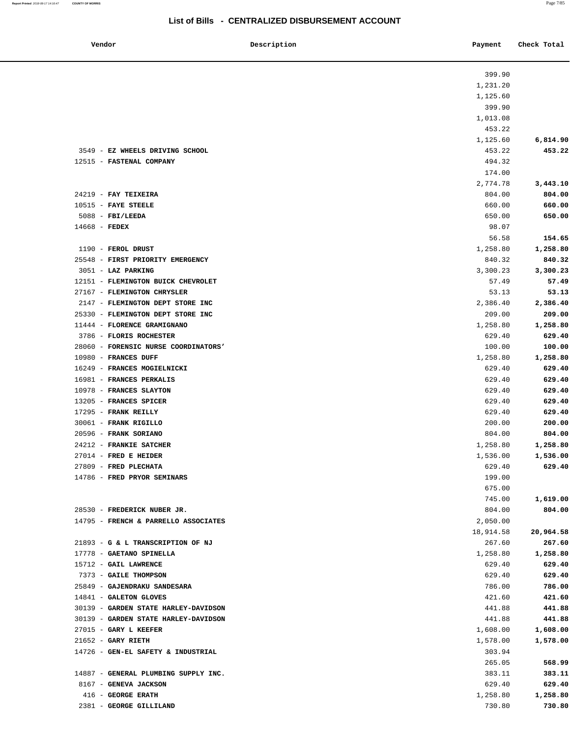**Report Printed** 2018-08-17 14:16:47 **COUNTY OF MORRIS** Page 7/85

# **List of Bills - CENTRALIZED DISBURSEMENT ACCOUNT**

| Vendor                               | Description | Payment   | Check Total |
|--------------------------------------|-------------|-----------|-------------|
|                                      |             | 399.90    |             |
|                                      |             | 1,231.20  |             |
|                                      |             | 1,125.60  |             |
|                                      |             | 399.90    |             |
|                                      |             | 1,013.08  |             |
|                                      |             | 453.22    |             |
|                                      |             | 1,125.60  | 6,814.90    |
| 3549 - EZ WHEELS DRIVING SCHOOL      |             | 453.22    | 453.22      |
| 12515 - FASTENAL COMPANY             |             | 494.32    |             |
|                                      |             | 174.00    |             |
|                                      |             | 2,774.78  | 3,443.10    |
| $24219$ - FAY TEIXEIRA               |             | 804.00    | 804.00      |
| $10515$ - FAYE STEELE                |             | 660.00    | 660.00      |
| $5088$ - FBI/LEEDA                   |             | 650.00    | 650.00      |
| $14668$ - FEDEX                      |             | 98.07     |             |
|                                      |             | 56.58     | 154.65      |
| 1190 - FEROL DRUST                   |             | 1,258.80  | 1,258.80    |
| 25548 - FIRST PRIORITY EMERGENCY     |             | 840.32    | 840.32      |
| 3051 - LAZ PARKING                   |             | 3,300.23  | 3,300.23    |
| 12151 - FLEMINGTON BUICK CHEVROLET   |             | 57.49     | 57.49       |
| 27167 - FLEMINGTON CHRYSLER          |             | 53.13     | 53.13       |
| 2147 - FLEMINGTON DEPT STORE INC     |             | 2,386.40  | 2,386.40    |
| 25330 - FLEMINGTON DEPT STORE INC    |             | 209.00    | 209.00      |
| 11444 - FLORENCE GRAMIGNANO          |             | 1,258.80  | 1,258.80    |
| 3786 - FLORIS ROCHESTER              |             | 629.40    | 629.40      |
| 28060 - FORENSIC NURSE COORDINATORS' |             | 100.00    | 100.00      |
| 10980 - FRANCES DUFF                 |             | 1,258.80  | 1,258.80    |
| 16249 - FRANCES MOGIELNICKI          |             | 629.40    | 629.40      |
| 16981 - FRANCES PERKALIS             |             | 629.40    | 629.40      |
| 10978 - FRANCES SLAYTON              |             | 629.40    | 629.40      |
| 13205 - FRANCES SPICER               |             | 629.40    | 629.40      |
| 17295 - FRANK REILLY                 |             | 629.40    | 629.40      |
| 30061 - FRANK RIGILLO                |             | 200.00    | 200.00      |
| 20596 - FRANK SORIANO                |             | 804.00    | 804.00      |
| 24212 - FRANKIE SATCHER              |             | 1,258.80  | 1,258.80    |
| $27014$ - FRED E HEIDER              |             | 1,536.00  | 1,536.00    |
| 27809 - FRED PLECHATA                |             | 629.40    | 629.40      |
| 14786 - FRED PRYOR SEMINARS          |             | 199.00    |             |
|                                      |             | 675.00    |             |
|                                      |             | 745.00    | 1,619.00    |
| 28530 - FREDERICK NUBER JR.          |             | 804.00    | 804.00      |
| 14795 - FRENCH & PARRELLO ASSOCIATES |             | 2,050.00  |             |
|                                      |             | 18,914.58 | 20,964.58   |
| 21893 - G & L TRANSCRIPTION OF NJ    |             | 267.60    | 267.60      |
| 17778 - GAETANO SPINELLA             |             | 1,258.80  | 1,258.80    |
| 15712 - GAIL LAWRENCE                |             | 629.40    | 629.40      |
| 7373 - GAILE THOMPSON                |             | 629.40    | 629.40      |
| 25849 - GAJENDRAKU SANDESARA         |             | 786.00    | 786.00      |
| 14841 - GALETON GLOVES               |             | 421.60    | 421.60      |
| 30139 - GARDEN STATE HARLEY-DAVIDSON |             | 441.88    | 441.88      |
| 30139 - GARDEN STATE HARLEY-DAVIDSON |             | 441.88    | 441.88      |
| $27015$ - GARY L KEEFER              |             | 1,608.00  | 1,608.00    |
| $21652$ - GARY RIETH                 |             | 1,578.00  | 1,578.00    |
| 14726 - GEN-EL SAFETY & INDUSTRIAL   |             | 303.94    |             |
|                                      |             | 265.05    | 568.99      |
| 14887 - GENERAL PLUMBING SUPPLY INC. |             | 383.11    | 383.11      |
| 8167 - GENEVA JACKSON                |             | 629.40    | 629.40      |
| 416 - GEORGE ERATH                   |             | 1,258.80  | 1,258.80    |
| 2381 - GEORGE GILLILAND              |             | 730.80    | 730.80      |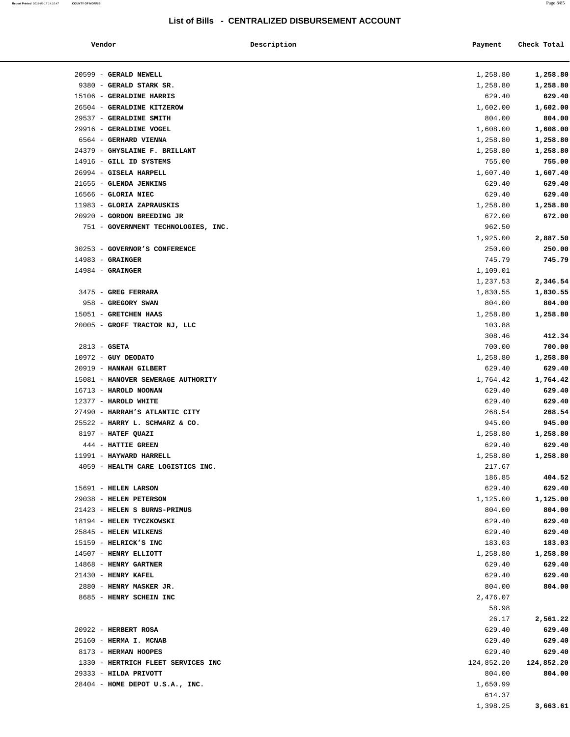#### **Report Printed** 2018-08-17 14:16:47 **COUNTY OF MORRIS** Page 8/85

| Vendor                              | Description | Payment    | Check Total |
|-------------------------------------|-------------|------------|-------------|
| 20599 - GERALD NEWELL               |             | 1,258.80   | 1,258.80    |
| 9380 - GERALD STARK SR.             |             | 1,258.80   | 1,258.80    |
| 15106 - GERALDINE HARRIS            |             | 629.40     | 629.40      |
| 26504 - GERALDINE KITZEROW          |             | 1,602.00   | 1,602.00    |
| 29537 - GERALDINE SMITH             |             | 804.00     | 804.00      |
| 29916 - GERALDINE VOGEL             |             | 1,608.00   | 1,608.00    |
| 6564 - GERHARD VIENNA               |             | 1,258.80   | 1,258.80    |
| 24379 - GHYSLAINE F. BRILLANT       |             | 1,258.80   | 1,258.80    |
| 14916 - GILL ID SYSTEMS             |             | 755.00     | 755.00      |
| 26994 - GISELA HARPELL              |             | 1,607.40   | 1,607.40    |
| 21655 - GLENDA JENKINS              |             | 629.40     | 629.40      |
| 16566 - GLORIA NIEC                 |             | 629.40     | 629.40      |
| 11983 - GLORIA ZAPRAUSKIS           |             | 1,258.80   | 1,258.80    |
| 20920 - GORDON BREEDING JR          |             | 672.00     | 672.00      |
| 751 - GOVERNMENT TECHNOLOGIES, INC. |             | 962.50     |             |
|                                     |             | 1,925.00   | 2,887.50    |
| 30253 - GOVERNOR'S CONFERENCE       |             | 250.00     | 250.00      |
| $14983$ - GRAINGER                  |             | 745.79     | 745.79      |
| $14984$ - GRAINGER                  |             | 1,109.01   |             |
|                                     |             | 1,237.53   | 2,346.54    |
| 3475 - GREG FERRARA                 |             | 1,830.55   | 1,830.55    |
| 958 - GREGORY SWAN                  |             | 804.00     | 804.00      |
| 15051 - GRETCHEN HAAS               |             | 1,258.80   | 1,258.80    |
| 20005 - GROFF TRACTOR NJ, LLC       |             | 103.88     |             |
|                                     |             | 308.46     | 412.34      |
| $2813 - GSETA$                      |             | 700.00     | 700.00      |
| $10972$ - GUY DEODATO               |             | 1,258.80   | 1,258.80    |
| 20919 - HANNAH GILBERT              |             | 629.40     | 629.40      |
| 15081 - HANOVER SEWERAGE AUTHORITY  |             | 1,764.42   | 1,764.42    |
| 16713 - HAROLD NOONAN               |             | 629.40     | 629.40      |
| 12377 - HAROLD WHITE                |             | 629.40     | 629.40      |
| 27490 - HARRAH'S ATLANTIC CITY      |             | 268.54     | 268.54      |
| 25522 - HARRY L. SCHWARZ & CO.      |             | 945.00     | 945.00      |
| 8197 - HATEF QUAZI                  |             | 1,258.80   | 1,258.80    |
| 444 - HATTIE GREEN                  |             | 629.40     | 629.40      |
| 11991 - HAYWARD HARRELL             |             | 1,258.80   | 1,258.80    |
| 4059 - HEALTH CARE LOGISTICS INC.   |             | 217.67     |             |
|                                     |             | 186.85     | 404.52      |
| 15691 - HELEN LARSON                |             | 629.40     | 629.40      |
| 29038 - HELEN PETERSON              |             | 1,125.00   | 1,125.00    |
| 21423 - HELEN S BURNS-PRIMUS        |             | 804.00     | 804.00      |
| 18194 - HELEN TYCZKOWSKI            |             | 629.40     | 629.40      |
| 25845 - HELEN WILKENS               |             | 629.40     | 629.40      |
| 15159 - HELRICK'S INC               |             | 183.03     | 183.03      |
| 14507 - HENRY ELLIOTT               |             | 1,258.80   | 1,258.80    |
| 14868 - HENRY GARTNER               |             | 629.40     | 629.40      |
| 21430 - HENRY KAFEL                 |             | 629.40     | 629.40      |
| 2880 - HENRY MASKER JR.             |             | 804.00     | 804.00      |
| 8685 - HENRY SCHEIN INC             |             | 2,476.07   |             |
|                                     |             | 58.98      |             |
|                                     |             | 26.17      | 2,561.22    |
|                                     |             |            |             |
| 20922 - HERBERT ROSA                |             | 629.40     | 629.40      |
| 25160 - HERMA I. MCNAB              |             | 629.40     | 629.40      |
| 8173 - HERMAN HOOPES                |             | 629.40     | 629.40      |
| 1330 - HERTRICH FLEET SERVICES INC  |             | 124,852.20 | 124,852.20  |
| 29333 - HILDA PRIVOTT               |             | 804.00     | 804.00      |
| 28404 - HOME DEPOT U.S.A., INC.     |             | 1,650.99   |             |
|                                     |             | 614.37     |             |
|                                     |             | 1,398.25   | 3,663.61    |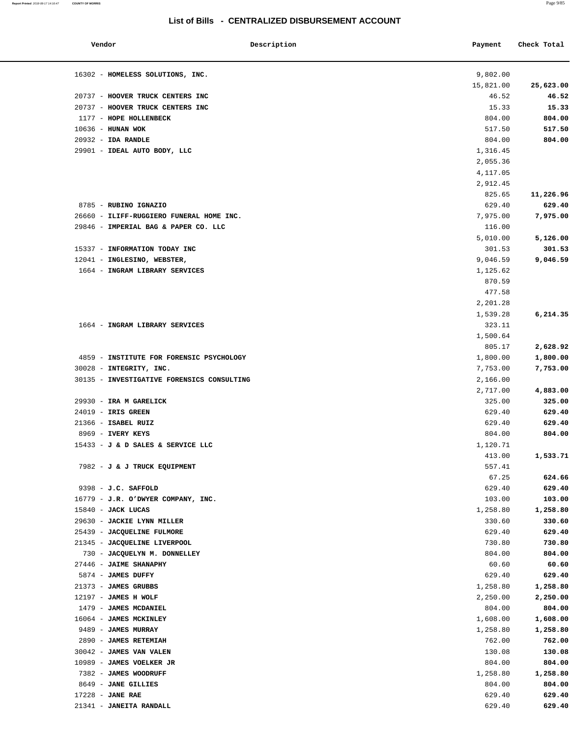#### **Report Printed** 2018-08-17 14:16:47 **COUNTY OF MORRIS** Page 9/85

### **List of Bills - CENTRALIZED DISBURSEMENT ACCOUNT**

| Vendor                                       | Description | Payment            | Check Total        |
|----------------------------------------------|-------------|--------------------|--------------------|
| 16302 - HOMELESS SOLUTIONS, INC.             |             | 9,802.00           |                    |
|                                              |             | 15,821.00          | 25,623.00          |
| 20737 - HOOVER TRUCK CENTERS INC             |             | 46.52              | 46.52              |
| 20737 - HOOVER TRUCK CENTERS INC             |             | 15.33              | 15.33              |
| 1177 - HOPE HOLLENBECK                       |             | 804.00             | 804.00             |
| $10636$ - HUNAN WOK                          |             | 517.50             | 517.50             |
| $20932$ - IDA RANDLE                         |             | 804.00             | 804.00             |
| 29901 - IDEAL AUTO BODY, LLC                 |             | 1,316.45           |                    |
|                                              |             | 2,055.36           |                    |
|                                              |             | 4,117.05           |                    |
|                                              |             | 2,912.45           |                    |
|                                              |             | 825.65             | 11,226.96          |
| 8785 - RUBINO IGNAZIO                        |             | 629.40             | 629.40             |
| 26660 - ILIFF-RUGGIERO FUNERAL HOME INC.     |             | 7,975.00           | 7,975.00           |
| 29846 - IMPERIAL BAG & PAPER CO. LLC         |             | 116.00             |                    |
|                                              |             | 5,010.00           | 5,126.00           |
| 15337 - INFORMATION TODAY INC                |             | 301.53             | 301.53             |
| 12041 - INGLESINO, WEBSTER,                  |             | 9,046.59           | 9,046.59           |
| 1664 - INGRAM LIBRARY SERVICES               |             | 1,125.62           |                    |
|                                              |             | 870.59             |                    |
|                                              |             | 477.58             |                    |
|                                              |             | 2,201.28           |                    |
|                                              |             | 1,539.28           | 6, 214.35          |
| 1664 - INGRAM LIBRARY SERVICES               |             | 323.11             |                    |
|                                              |             | 1,500.64           |                    |
|                                              |             | 805.17             | 2,628.92           |
| 4859 - INSTITUTE FOR FORENSIC PSYCHOLOGY     |             | 1,800.00           | 1,800.00           |
| 30028 - INTEGRITY, INC.                      |             | 7,753.00           | 7,753.00           |
| 30135 - INVESTIGATIVE FORENSICS CONSULTING   |             | 2,166.00           |                    |
|                                              |             | 2,717.00           | 4,883.00           |
| 29930 - IRA M GARELICK                       |             | 325.00             | 325.00             |
| $24019$ - IRIS GREEN                         |             | 629.40             | 629.40             |
| 21366 - ISABEL RUIZ                          |             | 629.40             | 629.40             |
| 8969 - IVERY KEYS                            |             | 804.00             | 804.00             |
| 15433 - J & D SALES & SERVICE LLC            |             | 1,120.71           |                    |
|                                              |             | 413.00             | 1,533.71           |
| 7982 - J & J TRUCK EQUIPMENT                 |             | 557.41             |                    |
|                                              |             | 67.25              | 624.66             |
| 9398 - J.C. SAFFOLD                          |             | 629.40             | 629.40             |
| 16779 - J.R. O'DWYER COMPANY, INC.           |             | 103.00             | 103.00             |
| 15840 - JACK LUCAS                           |             | 1,258.80           | 1,258.80           |
| 29630 - JACKIE LYNN MILLER                   |             | 330.60             | 330.60             |
| 25439 - JACQUELINE FULMORE                   |             | 629.40             | 629.40             |
| 21345 - JACQUELINE LIVERPOOL                 |             | 730.80             | 730.80             |
| 730 - JACQUELYN M. DONNELLEY                 |             | 804.00             | 804.00             |
| 27446 - JAIME SHANAPHY                       |             | 60.60              | 60.60              |
| 5874 - JAMES DUFFY                           |             | 629.40             | 629.40             |
| 21373 - JAMES GRUBBS<br>12197 - JAMES H WOLF |             | 1,258.80           | 1,258.80           |
| 1479 - JAMES MCDANIEL                        |             | 2,250.00<br>804.00 | 2,250.00<br>804.00 |
| 16064 - JAMES MCKINLEY                       |             | 1,608.00           | 1,608.00           |
| 9489 - JAMES MURRAY                          |             | 1,258.80           | 1,258.80           |
| 2890 - JAMES RETEMIAH                        |             | 762.00             | 762.00             |
| 30042 - JAMES VAN VALEN                      |             | 130.08             | 130.08             |
| 10989 - JAMES VOELKER JR                     |             | 804.00             | 804.00             |
| 7382 - JAMES WOODRUFF                        |             | 1,258.80           | 1,258.80           |
| 8649 - JANE GILLIES                          |             | 804.00             | 804.00             |
| $17228$ - JANE RAE                           |             | 629.40             | 629.40             |
| 21341 - JANEITA RANDALL                      |             | 629.40             | 629.40             |
|                                              |             |                    |                    |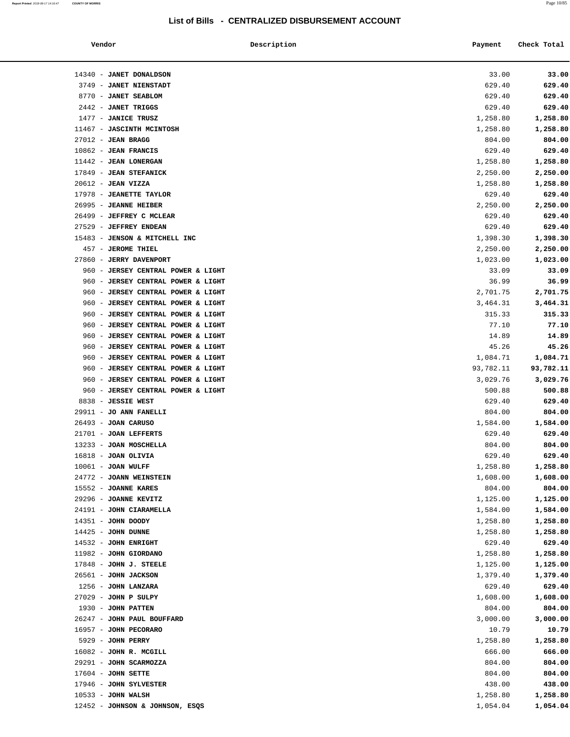| Vendor                                                                   | Description | Payment            | Check Total        |
|--------------------------------------------------------------------------|-------------|--------------------|--------------------|
| 14340 - JANET DONALDSON                                                  |             | 33.00              | 33.00              |
| 3749 - JANET NIENSTADT                                                   |             | 629.40             | 629.40             |
| 8770 - JANET SEABLOM                                                     |             | 629.40             | 629.40             |
| 2442 - JANET TRIGGS                                                      |             | 629.40             | 629.40             |
| 1477 - JANICE TRUSZ                                                      |             | 1,258.80           | 1,258.80           |
| 11467 - JASCINTH MCINTOSH                                                |             | 1,258.80           | 1,258.80           |
| $27012$ - JEAN BRAGG                                                     |             | 804.00             | 804.00             |
| $10862$ - JEAN FRANCIS                                                   |             | 629.40             | 629.40             |
| 11442 - JEAN LONERGAN                                                    |             | 1,258.80           | 1,258.80           |
| 17849 - JEAN STEFANICK                                                   |             | 2,250.00           | 2,250.00           |
| $20612$ - JEAN VIZZA                                                     |             | 1,258.80           | 1,258.80           |
| 17978 - JEANETTE TAYLOR                                                  |             | 629.40             | 629.40             |
| 26995 - JEANNE HEIBER                                                    |             | 2,250.00           | 2,250.00           |
| 26499 - JEFFREY C MCLEAR                                                 |             | 629.40             | 629.40             |
| 27529 - JEFFREY ENDEAN                                                   |             | 629.40             | 629.40             |
| 15483 - JENSON & MITCHELL INC                                            |             | 1,398.30           | 1,398.30           |
| 457 - JEROME THIEL                                                       |             | 2,250.00           | 2,250.00           |
| 27860 - JERRY DAVENPORT                                                  |             | 1,023.00           | 1,023.00           |
| 960 - JERSEY CENTRAL POWER & LIGHT                                       |             | 33.09              | 33.09              |
| 960 - JERSEY CENTRAL POWER & LIGHT                                       |             | 36.99              | 36.99              |
| 960 - JERSEY CENTRAL POWER & LIGHT                                       |             | 2,701.75           | 2,701.75           |
| 960 - JERSEY CENTRAL POWER & LIGHT                                       |             | 3,464.31           | 3,464.31           |
| 960 - JERSEY CENTRAL POWER & LIGHT                                       |             | 315.33             | 315.33             |
| 960 - JERSEY CENTRAL POWER & LIGHT<br>960 - JERSEY CENTRAL POWER & LIGHT |             | 77.10<br>14.89     | 77.10<br>14.89     |
| 960 - JERSEY CENTRAL POWER & LIGHT                                       |             | 45.26              | 45.26              |
| 960 - JERSEY CENTRAL POWER & LIGHT                                       |             | 1,084.71           | 1,084.71           |
| 960 - JERSEY CENTRAL POWER & LIGHT                                       |             | 93,782.11          | 93,782.11          |
| 960 - JERSEY CENTRAL POWER & LIGHT                                       |             | 3,029.76           | 3,029.76           |
| 960 - JERSEY CENTRAL POWER & LIGHT                                       |             | 500.88             | 500.88             |
| 8838 - JESSIE WEST                                                       |             | 629.40             | 629.40             |
| 29911 - JO ANN FANELLI                                                   |             | 804.00             | 804.00             |
| $26493$ - JOAN CARUSO                                                    |             | 1,584.00           | 1,584.00           |
| 21701 - JOAN LEFFERTS                                                    |             | 629.40             | 629.40             |
| 13233 - JOAN MOSCHELLA                                                   |             | 804.00             | 804.00             |
| 16818 - JOAN OLIVIA                                                      |             | 629.40             | 629.40             |
| $10061$ - JOAN WULFF                                                     |             | 1,258.80           | 1,258.80           |
| 24772 - JOANN WEINSTEIN                                                  |             | 1,608.00           | 1,608.00           |
| 15552 - JOANNE KARES                                                     |             | 804.00             | 804.00             |
| 29296 - JOANNE KEVITZ                                                    |             | 1,125.00           | 1,125.00           |
| 24191 - JOHN CIARAMELLA                                                  |             | 1,584.00           | 1,584.00           |
| 14351 - JOHN DOODY                                                       |             | 1,258.80           | 1,258.80           |
| $14425$ - JOHN DUNNE                                                     |             | 1,258.80           | 1,258.80           |
| 14532 - JOHN ENRIGHT                                                     |             | 629.40             | 629.40             |
| 11982 - JOHN GIORDANO                                                    |             | 1,258.80           | 1,258.80           |
| 17848 - JOHN J. STEELE                                                   |             | 1,125.00           | 1,125.00           |
| 26561 - JOHN JACKSON                                                     |             | 1,379.40           | 1,379.40           |
| 1256 - JOHN LANZARA                                                      |             | 629.40             | 629.40             |
| 27029 - JOHN P SULPY                                                     |             | 1,608.00           | 1,608.00           |
| 1930 - JOHN PATTEN                                                       |             | 804.00             | 804.00             |
| 26247 - JOHN PAUL BOUFFARD                                               |             | 3,000.00           | 3,000.00           |
| 16957 - JOHN PECORARO<br>5929 - JOHN PERRY                               |             | 10.79              | 10.79              |
| 16082 - JOHN R. MCGILL                                                   |             | 1,258.80<br>666.00 | 1,258.80<br>666.00 |
| 29291 - JOHN SCARMOZZA                                                   |             | 804.00             | 804.00             |
| $17604$ - JOHN SETTE                                                     |             | 804.00             | 804.00             |
| 17946 - JOHN SYLVESTER                                                   |             | 438.00             | 438.00             |
| $10533 - JOHN WALSH$                                                     |             | 1,258.80           | 1,258.80           |
| 12452 - JOHNSON & JOHNSON, ESQS                                          |             | 1,054.04           | 1,054.04           |
|                                                                          |             |                    |                    |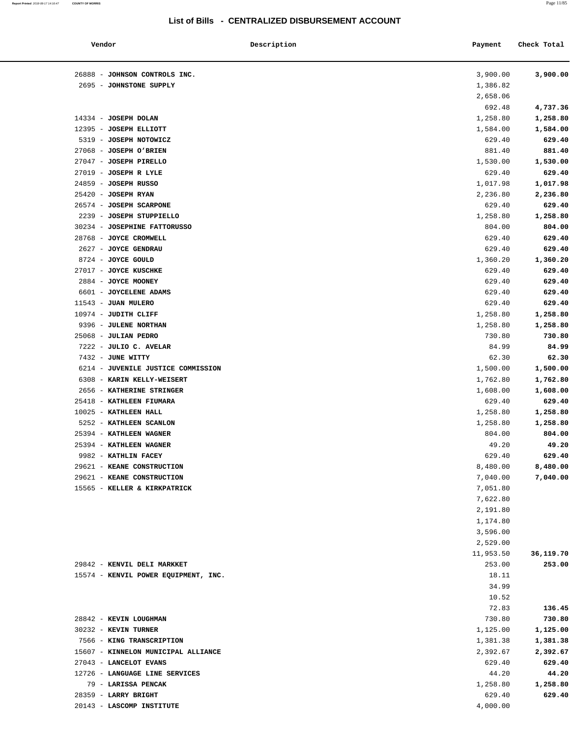| Vendor                                        | Description | Payment              | Check Total          |
|-----------------------------------------------|-------------|----------------------|----------------------|
| 26888 - JOHNSON CONTROLS INC.                 |             | 3,900.00             | 3,900.00             |
| 2695 - JOHNSTONE SUPPLY                       |             | 1,386.82             |                      |
|                                               |             | 2,658.06             |                      |
|                                               |             | 692.48               | 4,737.36             |
| 14334 - JOSEPH DOLAN                          |             | 1,258.80             | 1,258.80             |
| 12395 - JOSEPH ELLIOTT                        |             | 1,584.00             | 1,584.00             |
| 5319 - JOSEPH NOTOWICZ                        |             | 629.40               | 629.40               |
| 27068 - JOSEPH O'BRIEN                        |             | 881.40               | 881.40               |
| 27047 - JOSEPH PIRELLO                        |             | 1,530.00             | 1,530.00             |
| 27019 - JOSEPH R LYLE                         |             | 629.40               | 629.40               |
| 24859 - JOSEPH RUSSO                          |             | 1,017.98             | 1,017.98             |
| $25420$ - JOSEPH RYAN                         |             | 2,236.80             | 2,236.80             |
| 26574 - JOSEPH SCARPONE                       |             | 629.40               | 629.40               |
| 2239 - JOSEPH STUPPIELLO                      |             | 1,258.80             | 1,258.80             |
| 30234 - JOSEPHINE FATTORUSSO                  |             | 804.00               | 804.00               |
| 28768 - JOYCE CROMWELL                        |             | 629.40               | 629.40               |
| 2627 - JOYCE GENDRAU                          |             | 629.40               | 629.40               |
| 8724 - JOYCE GOULD                            |             | 1,360.20             | 1,360.20             |
| 27017 - JOYCE KUSCHKE                         |             | 629.40               | 629.40               |
| 2884 - JOYCE MOONEY                           |             | 629.40               | 629.40               |
| 6601 - JOYCELENE ADAMS                        |             | 629.40               | 629.40               |
| 11543 - JUAN MULERO                           |             | 629.40               | 629.40               |
| 10974 - JUDITH CLIFF                          |             |                      |                      |
|                                               |             | 1,258.80             | 1,258.80             |
| 9396 - JULENE NORTHAN<br>25068 - JULIAN PEDRO |             | 1,258.80<br>730.80   | 1,258.80<br>730.80   |
| 7222 - JULIO C. AVELAR                        |             | 84.99                | 84.99                |
| 7432 - JUNE WITTY                             |             | 62.30                | 62.30                |
| 6214 - JUVENILE JUSTICE COMMISSION            |             | 1,500.00             | 1,500.00             |
| 6308 - KARIN KELLY-WEISERT                    |             |                      |                      |
| 2656 - KATHERINE STRINGER                     |             | 1,762.80<br>1,608.00 | 1,762.80<br>1,608.00 |
| 25418 - KATHLEEN FIUMARA                      |             | 629.40               |                      |
| 10025 - KATHLEEN HALL                         |             | 1,258.80             | 629.40               |
| 5252 - KATHLEEN SCANLON                       |             | 1,258.80             | 1,258.80             |
| 25394 - KATHLEEN WAGNER                       |             | 804.00               | 1,258.80<br>804.00   |
| 25394 - KATHLEEN WAGNER                       |             | 49.20                | 49.20                |
| 9982 - KATHLIN FACEY                          |             | 629.40               | 629.40               |
| 29621 - KEANE CONSTRUCTION                    |             | 8,480.00             | 8,480.00             |
| 29621 - KEANE CONSTRUCTION                    |             | 7,040.00             | 7,040.00             |
| 15565 - KELLER & KIRKPATRICK                  |             | 7,051.80             |                      |
|                                               |             | 7,622.80             |                      |
|                                               |             | 2,191.80             |                      |
|                                               |             | 1,174.80             |                      |
|                                               |             | 3,596.00             |                      |
|                                               |             | 2,529.00             |                      |
|                                               |             | 11,953.50            | 36,119.70            |
| 29842 - KENVIL DELI MARKKET                   |             | 253.00               | 253.00               |
| 15574 - KENVIL POWER EQUIPMENT, INC.          |             | 18.11                |                      |
|                                               |             | 34.99                |                      |
|                                               |             | 10.52                |                      |
|                                               |             | 72.83                | 136.45               |
| 28842 - KEVIN LOUGHMAN                        |             | 730.80               | 730.80               |
| 30232 - KEVIN TURNER                          |             | 1,125.00             | 1,125.00             |
| 7566 - KING TRANSCRIPTION                     |             | 1,381.38             | 1,381.38             |
| 15607 - KINNELON MUNICIPAL ALLIANCE           |             | 2,392.67             | 2,392.67             |
| 27043 - LANCELOT EVANS                        |             | 629.40               | 629.40               |
| 12726 - LANGUAGE LINE SERVICES                |             | 44.20                | 44.20                |
| 79 - LARISSA PENCAK                           |             | 1,258.80             | 1,258.80             |
| 28359 - LARRY BRIGHT                          |             | 629.40               | 629.40               |
| 20143 - LASCOMP INSTITUTE                     |             | 4,000.00             |                      |
|                                               |             |                      |                      |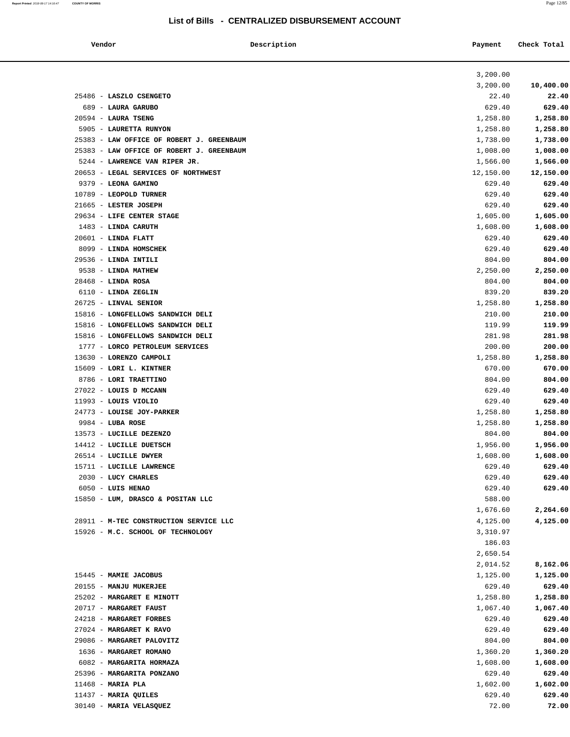| Vendor |                                                            | Description<br>Payment | Check Total        |
|--------|------------------------------------------------------------|------------------------|--------------------|
|        |                                                            | 3,200.00               |                    |
|        |                                                            | 3,200.00               | 10,400.00          |
|        | 25486 - LASZLO CSENGETO                                    | 22.40                  | 22.40              |
|        | 689 - LAURA GARUBO                                         | 629.40                 | 629.40             |
|        | $20594$ - LAURA TSENG                                      | 1,258.80               | 1,258.80           |
|        | 5905 - LAURETTA RUNYON                                     | 1,258.80               | 1,258.80           |
|        | 25383 - LAW OFFICE OF ROBERT J. GREENBAUM                  | 1,738.00               | 1,738.00           |
|        | 25383 - LAW OFFICE OF ROBERT J. GREENBAUM                  | 1,008.00               | 1,008.00           |
|        | 5244 - LAWRENCE VAN RIPER JR.                              | 1,566.00               | 1,566.00           |
|        | 20653 - LEGAL SERVICES OF NORTHWEST                        | 12,150.00              | 12,150.00          |
|        | 9379 - LEONA GAMINO                                        | 629.40                 | 629.40             |
|        | 10789 - LEOPOLD TURNER                                     | 629.40                 | 629.40             |
|        | 21665 - LESTER JOSEPH                                      | 629.40                 | 629.40             |
|        | 29634 - LIFE CENTER STAGE                                  | 1,605.00               | 1,605.00           |
|        | 1483 - LINDA CARUTH                                        | 1,608.00               | 1,608.00           |
|        | $20601$ - LINDA FLATT                                      | 629.40                 | 629.40             |
|        | 8099 - LINDA HOMSCHEK                                      | 629.40                 | 629.40             |
|        | 29536 - LINDA INTILI                                       | 804.00                 | 804.00             |
|        | 9538 - LINDA MATHEW                                        | 2,250.00               | 2,250.00           |
|        | $28468$ - LINDA ROSA                                       | 804.00                 | 804.00             |
|        | 6110 - LINDA ZEGLIN                                        | 839.20                 | 839.20             |
|        | 26725 - LINVAL SENIOR                                      | 1,258.80               | 1,258.80           |
|        | 15816 - LONGFELLOWS SANDWICH DELI                          | 210.00                 | 210.00             |
|        | 15816 - LONGFELLOWS SANDWICH DELI                          | 119.99                 | 119.99             |
|        | 15816 - LONGFELLOWS SANDWICH DELI                          | 281.98                 | 281.98             |
|        | 1777 - LORCO PETROLEUM SERVICES<br>13630 - LORENZO CAMPOLI | 200.00                 | 200.00             |
|        | 15609 - LORI L. KINTNER                                    | 1,258.80<br>670.00     | 1,258.80<br>670.00 |
|        | 8786 - LORI TRAETTINO                                      | 804.00                 | 804.00             |
|        | 27022 - LOUIS D MCCANN                                     | 629.40                 | 629.40             |
|        | $11993$ - LOUIS VIOLIO                                     | 629.40                 | 629.40             |
|        | 24773 - LOUISE JOY-PARKER                                  | 1,258.80               | 1,258.80           |
|        | 9984 - LUBA ROSE                                           | 1,258.80               | 1,258.80           |
|        | 13573 - LUCILLE DEZENZO                                    | 804.00                 | 804.00             |
|        | 14412 - LUCILLE DUETSCH                                    | 1,956.00               | 1,956.00           |
|        | 26514 - LUCILLE DWYER                                      | 1,608.00               | 1,608.00           |
|        | 15711 - LUCILLE LAWRENCE                                   | 629.40                 | 629.40             |
|        | 2030 - LUCY CHARLES                                        | 629.40                 | 629.40             |
|        | 6050 - LUIS HENAO                                          | 629.40                 | 629.40             |
|        | 15850 - LUM, DRASCO & POSITAN LLC                          | 588.00                 |                    |
|        |                                                            | 1,676.60               | 2,264.60           |
|        | 28911 - M-TEC CONSTRUCTION SERVICE LLC                     | 4,125.00               | 4,125.00           |
|        | 15926 - M.C. SCHOOL OF TECHNOLOGY                          | 3,310.97               |                    |
|        |                                                            | 186.03                 |                    |
|        |                                                            | 2,650.54               |                    |
|        |                                                            | 2,014.52               | 8,162.06           |
|        | 15445 - MAMIE JACOBUS                                      | 1,125.00               | 1,125.00           |
|        | 20155 - MANJU MUKERJEE                                     | 629.40                 | 629.40             |
|        | 25202 - MARGARET E MINOTT                                  | 1,258.80               | 1,258.80           |
|        | 20717 - MARGARET FAUST                                     | 1,067.40               | 1,067.40           |
|        | 24218 - MARGARET FORBES                                    | 629.40                 | 629.40             |
|        | 27024 - MARGARET K RAVO                                    | 629.40                 | 629.40             |
|        | 29086 - MARGARET PALOVITZ                                  | 804.00                 | 804.00             |
|        | 1636 - MARGARET ROMANO                                     | 1,360.20               | 1,360.20           |
|        | 6082 - MARGARITA HORMAZA                                   | 1,608.00               | 1,608.00           |
|        | 25396 - MARGARITA PONZANO                                  | 629.40                 | 629.40             |
|        | $11468$ - MARIA PLA                                        | 1,602.00               | 1,602.00           |
|        | 11437 - MARIA QUILES                                       | 629.40                 | 629.40             |
|        | 30140 - MARIA VELASQUEZ                                    | 72.00                  | 72.00              |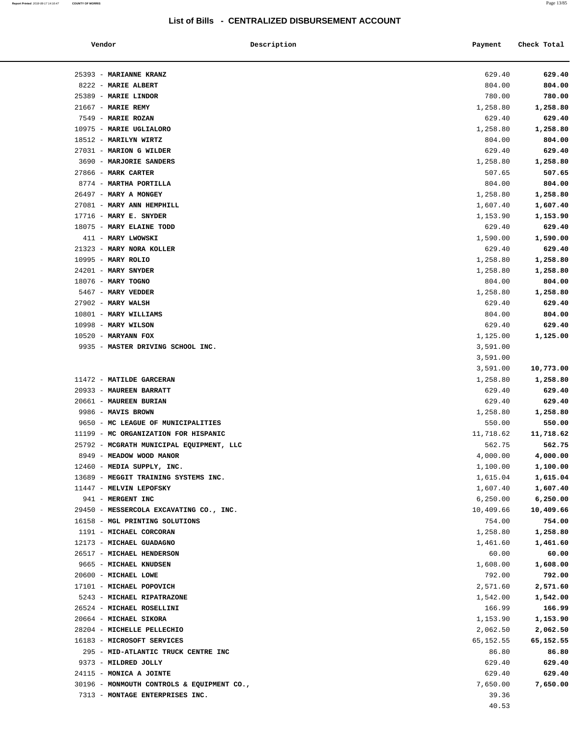| Vendor                                               | Description | Payment              | Check Total          |
|------------------------------------------------------|-------------|----------------------|----------------------|
| 25393 - MARIANNE KRANZ                               |             | 629.40               | 629.40               |
| 8222 - MARIE ALBERT                                  |             | 804.00               | 804.00               |
| 25389 - MARIE LINDOR                                 |             | 780.00               | 780.00               |
| 21667 - MARIE REMY                                   |             | 1,258.80             | 1,258.80             |
| 7549 - MARIE ROZAN                                   |             | 629.40               | 629.40               |
| 10975 - MARIE UGLIALORO                              |             | 1,258.80             | 1,258.80             |
| 18512 - MARILYN WIRTZ                                |             | 804.00               | 804.00               |
| 27031 - MARION G WILDER                              |             | 629.40               | 629.40               |
| 3690 - MARJORIE SANDERS                              |             | 1,258.80             | 1,258.80             |
| 27866 - MARK CARTER                                  |             | 507.65               | 507.65               |
| 8774 - MARTHA PORTILLA                               |             | 804.00               | 804.00               |
| 26497 - MARY A MONGEY                                |             | 1,258.80             | 1,258.80             |
| 27081 - MARY ANN HEMPHILL                            |             | 1,607.40             | 1,607.40             |
| $17716$ - MARY E. SNYDER                             |             | 1,153.90             | 1,153.90             |
| 18075 - MARY ELAINE TODD                             |             | 629.40               | 629.40               |
| 411 - MARY LWOWSKI                                   |             | 1,590.00             | 1,590.00             |
| 21323 - MARY NORA KOLLER<br>10995 - MARY ROLIO       |             | 629.40               | 629.40               |
| 24201 - MARY SNYDER                                  |             | 1,258.80<br>1,258.80 | 1,258.80<br>1,258.80 |
| 18076 - MARY TOGNO                                   |             | 804.00               | 804.00               |
| 5467 - MARY VEDDER                                   |             | 1,258.80             | 1,258.80             |
| $27902$ - MARY WALSH                                 |             | 629.40               | 629.40               |
| 10801 - MARY WILLIAMS                                |             | 804.00               | 804.00               |
| 10998 - MARY WILSON                                  |             | 629.40               | 629.40               |
| $10520$ - MARYANN FOX                                |             | 1,125.00             | 1,125.00             |
| 9935 - MASTER DRIVING SCHOOL INC.                    |             | 3,591.00             |                      |
|                                                      |             | 3,591.00             |                      |
|                                                      |             | 3,591.00             | 10,773.00            |
| 11472 - MATILDE GARCERAN                             |             | 1,258.80             | 1,258.80             |
| 20933 - MAUREEN BARRATT                              |             | 629.40               | 629.40               |
| 20661 - MAUREEN BURIAN                               |             | 629.40               | 629.40               |
| 9986 - MAVIS BROWN                                   |             | 1,258.80             | 1,258.80             |
| 9650 - MC LEAGUE OF MUNICIPALITIES                   |             | 550.00               | 550.00               |
| 11199 - MC ORGANIZATION FOR HISPANIC                 |             | 11,718.62            | 11,718.62            |
| 25792 - MCGRATH MUNICIPAL EQUIPMENT, LLC             |             | 562.75               | 562.75               |
| 8949 - MEADOW WOOD MANOR                             |             | 4,000.00             | 4,000.00             |
| 12460 - MEDIA SUPPLY, INC.                           |             | 1,100.00             | 1,100.00             |
| 13689 - MEGGIT TRAINING SYSTEMS INC.                 |             | 1,615.04             | 1,615.04             |
| 11447 - MELVIN LEPOFSKY                              |             | 1,607.40             | 1,607.40             |
| 941 - MERGENT INC                                    |             | 6, 250.00            | 6,250.00             |
| 29450 - MESSERCOLA EXCAVATING CO., INC.              |             | 10,409.66            | 10,409.66            |
| 16158 - MGL PRINTING SOLUTIONS                       |             | 754.00               | 754.00               |
| 1191 - MICHAEL CORCORAN                              |             | 1,258.80             | 1,258.80             |
| 12173 - MICHAEL GUADAGNO                             |             | 1,461.60             | 1,461.60             |
| 26517 - MICHAEL HENDERSON                            |             | 60.00                | 60.00                |
| 9665 - MICHAEL KNUDSEN                               |             | 1,608.00             | 1,608.00             |
| 20600 - MICHAEL LOWE                                 |             | 792.00               | 792.00               |
| 17101 - MICHAEL POPOVICH                             |             | 2,571.60             | 2,571.60             |
| 5243 - MICHAEL RIPATRAZONE                           |             | 1,542.00             | 1,542.00             |
| 26524 - MICHAEL ROSELLINI                            |             | 166.99               | 166.99               |
| 20664 - MICHAEL SIKORA<br>28204 - MICHELLE PELLECHIO |             | 1,153.90             | 1,153.90             |
| 16183 - MICROSOFT SERVICES                           |             | 2,062.50             | 2,062.50             |
| 295 - MID-ATLANTIC TRUCK CENTRE INC                  |             | 65,152.55<br>86.80   | 65,152.55<br>86.80   |
| 9373 - MILDRED JOLLY                                 |             | 629.40               | 629.40               |
| 24115 - MONICA A JOINTE                              |             | 629.40               | 629.40               |
| 30196 - MONMOUTH CONTROLS & EQUIPMENT CO.,           |             | 7,650.00             | 7,650.00             |
| 7313 - MONTAGE ENTERPRISES INC.                      |             | 39.36                |                      |
|                                                      |             | 40.53                |                      |
|                                                      |             |                      |                      |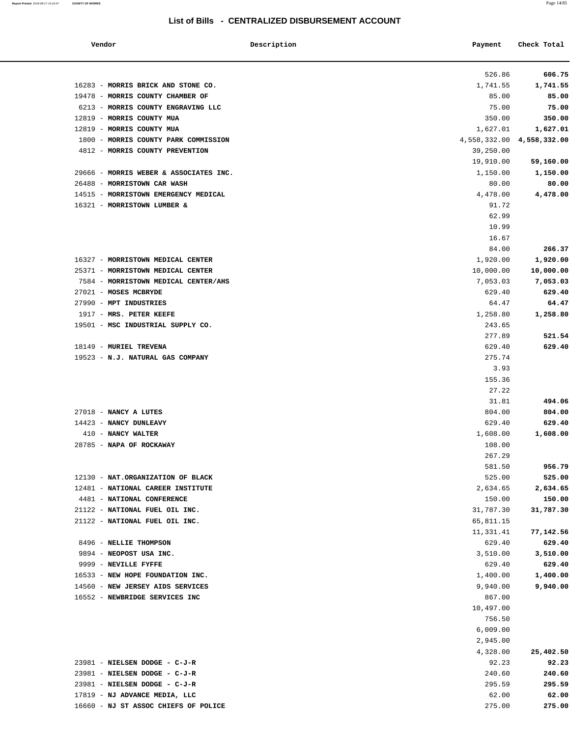**Report Printed** 2018-08-17 14:16:47 **COUNTY OF MORRIS** Page 14/85

### **List of Bills - CENTRALIZED DISBURSEMENT ACCOUNT**

| 526.86<br>1,741.55<br>85.00<br>6213 - MORRIS COUNTY ENGRAVING LLC<br>75.00<br>350.00<br>1,627.01<br>1800 - MORRIS COUNTY PARK COMMISSION<br>4,558,332.00 4,558,332.00<br>4812 - MORRIS COUNTY PREVENTION<br>39,250.00<br>19,910.00<br>29666 - MORRIS WEBER & ASSOCIATES INC.<br>1,150.00<br>80.00<br>4,478.00<br>91.72<br>62.99<br>10.99<br>16.67<br>84.00<br>1,920.00<br>25371 - MORRISTOWN MEDICAL CENTER<br>10,000.00<br>7584 - MORRISTOWN MEDICAL CENTER/AHS<br>7,053.03<br>629.40<br>64.47<br>1917 - MRS. PETER KEEFE<br>1,258.80<br>19501 - MSC INDUSTRIAL SUPPLY CO.<br>243.65<br>277.89<br>629.40<br>19523 - N.J. NATURAL GAS COMPANY<br>275.74<br>3.93<br>155.36<br>27.22<br>31.81<br>27018 - NANCY A LUTES<br>804.00<br>14423 - NANCY DUNLEAVY<br>629.40<br>410 - NANCY WALTER<br>1,608.00<br>28785 - NAPA OF ROCKAWAY<br>108.00<br>267.29<br>581.50<br>12130 - NAT.ORGANIZATION OF BLACK<br>525.00<br>12481 - NATIONAL CAREER INSTITUTE<br>2,634.65<br>4481 - NATIONAL CONFERENCE<br>150.00<br>21122 - NATIONAL FUEL OIL INC.<br>31,787.30<br>21122 - NATIONAL FUEL OIL INC.<br>65,811.15<br>11,331.41<br>8496 - NELLIE THOMPSON<br>629.40<br>9894 - NEOPOST USA INC.<br>3,510.00<br>9999 - NEVILLE FYFFE<br>629.40<br>16533 - NEW HOPE FOUNDATION INC.<br>1,400.00<br>9,940.00<br>867.00<br>16552 - NEWBRIDGE SERVICES INC<br>10,497.00<br>756.50<br>6,009.00<br>2,945.00<br>4,328.00<br>92.23<br>23981 - NIELSEN DODGE - C-J-R<br>240.60<br>295.59<br>62.00<br>275.00 | Vendor                               | Description | Payment | Check Total |
|------------------------------------------------------------------------------------------------------------------------------------------------------------------------------------------------------------------------------------------------------------------------------------------------------------------------------------------------------------------------------------------------------------------------------------------------------------------------------------------------------------------------------------------------------------------------------------------------------------------------------------------------------------------------------------------------------------------------------------------------------------------------------------------------------------------------------------------------------------------------------------------------------------------------------------------------------------------------------------------------------------------------------------------------------------------------------------------------------------------------------------------------------------------------------------------------------------------------------------------------------------------------------------------------------------------------------------------------------------------------------------------------------------------------------------------------------------------------------------|--------------------------------------|-------------|---------|-------------|
|                                                                                                                                                                                                                                                                                                                                                                                                                                                                                                                                                                                                                                                                                                                                                                                                                                                                                                                                                                                                                                                                                                                                                                                                                                                                                                                                                                                                                                                                                    |                                      |             |         | 606.75      |
|                                                                                                                                                                                                                                                                                                                                                                                                                                                                                                                                                                                                                                                                                                                                                                                                                                                                                                                                                                                                                                                                                                                                                                                                                                                                                                                                                                                                                                                                                    | 16283 - MORRIS BRICK AND STONE CO.   |             |         | 1,741.55    |
|                                                                                                                                                                                                                                                                                                                                                                                                                                                                                                                                                                                                                                                                                                                                                                                                                                                                                                                                                                                                                                                                                                                                                                                                                                                                                                                                                                                                                                                                                    | 19478 - MORRIS COUNTY CHAMBER OF     |             |         | 85.00       |
|                                                                                                                                                                                                                                                                                                                                                                                                                                                                                                                                                                                                                                                                                                                                                                                                                                                                                                                                                                                                                                                                                                                                                                                                                                                                                                                                                                                                                                                                                    |                                      |             |         | 75.00       |
|                                                                                                                                                                                                                                                                                                                                                                                                                                                                                                                                                                                                                                                                                                                                                                                                                                                                                                                                                                                                                                                                                                                                                                                                                                                                                                                                                                                                                                                                                    | 12819 - MORRIS COUNTY MUA            |             |         | 350.00      |
|                                                                                                                                                                                                                                                                                                                                                                                                                                                                                                                                                                                                                                                                                                                                                                                                                                                                                                                                                                                                                                                                                                                                                                                                                                                                                                                                                                                                                                                                                    | 12819 - MORRIS COUNTY MUA            |             |         | 1,627.01    |
|                                                                                                                                                                                                                                                                                                                                                                                                                                                                                                                                                                                                                                                                                                                                                                                                                                                                                                                                                                                                                                                                                                                                                                                                                                                                                                                                                                                                                                                                                    |                                      |             |         |             |
|                                                                                                                                                                                                                                                                                                                                                                                                                                                                                                                                                                                                                                                                                                                                                                                                                                                                                                                                                                                                                                                                                                                                                                                                                                                                                                                                                                                                                                                                                    |                                      |             |         |             |
|                                                                                                                                                                                                                                                                                                                                                                                                                                                                                                                                                                                                                                                                                                                                                                                                                                                                                                                                                                                                                                                                                                                                                                                                                                                                                                                                                                                                                                                                                    |                                      |             |         | 59,160.00   |
|                                                                                                                                                                                                                                                                                                                                                                                                                                                                                                                                                                                                                                                                                                                                                                                                                                                                                                                                                                                                                                                                                                                                                                                                                                                                                                                                                                                                                                                                                    |                                      |             |         | 1,150.00    |
|                                                                                                                                                                                                                                                                                                                                                                                                                                                                                                                                                                                                                                                                                                                                                                                                                                                                                                                                                                                                                                                                                                                                                                                                                                                                                                                                                                                                                                                                                    | 26488 - MORRISTOWN CAR WASH          |             |         | 80.00       |
|                                                                                                                                                                                                                                                                                                                                                                                                                                                                                                                                                                                                                                                                                                                                                                                                                                                                                                                                                                                                                                                                                                                                                                                                                                                                                                                                                                                                                                                                                    | 14515 - MORRISTOWN EMERGENCY MEDICAL |             |         | 4,478.00    |
|                                                                                                                                                                                                                                                                                                                                                                                                                                                                                                                                                                                                                                                                                                                                                                                                                                                                                                                                                                                                                                                                                                                                                                                                                                                                                                                                                                                                                                                                                    | 16321 - MORRISTOWN LUMBER &          |             |         |             |
|                                                                                                                                                                                                                                                                                                                                                                                                                                                                                                                                                                                                                                                                                                                                                                                                                                                                                                                                                                                                                                                                                                                                                                                                                                                                                                                                                                                                                                                                                    |                                      |             |         |             |
|                                                                                                                                                                                                                                                                                                                                                                                                                                                                                                                                                                                                                                                                                                                                                                                                                                                                                                                                                                                                                                                                                                                                                                                                                                                                                                                                                                                                                                                                                    |                                      |             |         |             |
|                                                                                                                                                                                                                                                                                                                                                                                                                                                                                                                                                                                                                                                                                                                                                                                                                                                                                                                                                                                                                                                                                                                                                                                                                                                                                                                                                                                                                                                                                    |                                      |             |         |             |
|                                                                                                                                                                                                                                                                                                                                                                                                                                                                                                                                                                                                                                                                                                                                                                                                                                                                                                                                                                                                                                                                                                                                                                                                                                                                                                                                                                                                                                                                                    |                                      |             |         | 266.37      |
|                                                                                                                                                                                                                                                                                                                                                                                                                                                                                                                                                                                                                                                                                                                                                                                                                                                                                                                                                                                                                                                                                                                                                                                                                                                                                                                                                                                                                                                                                    | 16327 - MORRISTOWN MEDICAL CENTER    |             |         | 1,920.00    |
|                                                                                                                                                                                                                                                                                                                                                                                                                                                                                                                                                                                                                                                                                                                                                                                                                                                                                                                                                                                                                                                                                                                                                                                                                                                                                                                                                                                                                                                                                    |                                      |             |         | 10,000.00   |
|                                                                                                                                                                                                                                                                                                                                                                                                                                                                                                                                                                                                                                                                                                                                                                                                                                                                                                                                                                                                                                                                                                                                                                                                                                                                                                                                                                                                                                                                                    |                                      |             |         | 7,053.03    |
|                                                                                                                                                                                                                                                                                                                                                                                                                                                                                                                                                                                                                                                                                                                                                                                                                                                                                                                                                                                                                                                                                                                                                                                                                                                                                                                                                                                                                                                                                    | 27021 - MOSES MCBRYDE                |             |         | 629.40      |
|                                                                                                                                                                                                                                                                                                                                                                                                                                                                                                                                                                                                                                                                                                                                                                                                                                                                                                                                                                                                                                                                                                                                                                                                                                                                                                                                                                                                                                                                                    | 27990 - MPT INDUSTRIES               |             |         | 64.47       |
|                                                                                                                                                                                                                                                                                                                                                                                                                                                                                                                                                                                                                                                                                                                                                                                                                                                                                                                                                                                                                                                                                                                                                                                                                                                                                                                                                                                                                                                                                    |                                      |             |         | 1,258.80    |
|                                                                                                                                                                                                                                                                                                                                                                                                                                                                                                                                                                                                                                                                                                                                                                                                                                                                                                                                                                                                                                                                                                                                                                                                                                                                                                                                                                                                                                                                                    |                                      |             |         |             |
|                                                                                                                                                                                                                                                                                                                                                                                                                                                                                                                                                                                                                                                                                                                                                                                                                                                                                                                                                                                                                                                                                                                                                                                                                                                                                                                                                                                                                                                                                    |                                      |             |         | 521.54      |
|                                                                                                                                                                                                                                                                                                                                                                                                                                                                                                                                                                                                                                                                                                                                                                                                                                                                                                                                                                                                                                                                                                                                                                                                                                                                                                                                                                                                                                                                                    | 18149 - MURIEL TREVENA               |             |         | 629.40      |
|                                                                                                                                                                                                                                                                                                                                                                                                                                                                                                                                                                                                                                                                                                                                                                                                                                                                                                                                                                                                                                                                                                                                                                                                                                                                                                                                                                                                                                                                                    |                                      |             |         |             |
|                                                                                                                                                                                                                                                                                                                                                                                                                                                                                                                                                                                                                                                                                                                                                                                                                                                                                                                                                                                                                                                                                                                                                                                                                                                                                                                                                                                                                                                                                    |                                      |             |         |             |
|                                                                                                                                                                                                                                                                                                                                                                                                                                                                                                                                                                                                                                                                                                                                                                                                                                                                                                                                                                                                                                                                                                                                                                                                                                                                                                                                                                                                                                                                                    |                                      |             |         |             |
|                                                                                                                                                                                                                                                                                                                                                                                                                                                                                                                                                                                                                                                                                                                                                                                                                                                                                                                                                                                                                                                                                                                                                                                                                                                                                                                                                                                                                                                                                    |                                      |             |         |             |
|                                                                                                                                                                                                                                                                                                                                                                                                                                                                                                                                                                                                                                                                                                                                                                                                                                                                                                                                                                                                                                                                                                                                                                                                                                                                                                                                                                                                                                                                                    |                                      |             |         | 494.06      |
|                                                                                                                                                                                                                                                                                                                                                                                                                                                                                                                                                                                                                                                                                                                                                                                                                                                                                                                                                                                                                                                                                                                                                                                                                                                                                                                                                                                                                                                                                    |                                      |             |         | 804.00      |
|                                                                                                                                                                                                                                                                                                                                                                                                                                                                                                                                                                                                                                                                                                                                                                                                                                                                                                                                                                                                                                                                                                                                                                                                                                                                                                                                                                                                                                                                                    |                                      |             |         | 629.40      |
|                                                                                                                                                                                                                                                                                                                                                                                                                                                                                                                                                                                                                                                                                                                                                                                                                                                                                                                                                                                                                                                                                                                                                                                                                                                                                                                                                                                                                                                                                    |                                      |             |         | 1,608.00    |
|                                                                                                                                                                                                                                                                                                                                                                                                                                                                                                                                                                                                                                                                                                                                                                                                                                                                                                                                                                                                                                                                                                                                                                                                                                                                                                                                                                                                                                                                                    |                                      |             |         |             |
|                                                                                                                                                                                                                                                                                                                                                                                                                                                                                                                                                                                                                                                                                                                                                                                                                                                                                                                                                                                                                                                                                                                                                                                                                                                                                                                                                                                                                                                                                    |                                      |             |         |             |
|                                                                                                                                                                                                                                                                                                                                                                                                                                                                                                                                                                                                                                                                                                                                                                                                                                                                                                                                                                                                                                                                                                                                                                                                                                                                                                                                                                                                                                                                                    |                                      |             |         | 956.79      |
|                                                                                                                                                                                                                                                                                                                                                                                                                                                                                                                                                                                                                                                                                                                                                                                                                                                                                                                                                                                                                                                                                                                                                                                                                                                                                                                                                                                                                                                                                    |                                      |             |         | 525.00      |
|                                                                                                                                                                                                                                                                                                                                                                                                                                                                                                                                                                                                                                                                                                                                                                                                                                                                                                                                                                                                                                                                                                                                                                                                                                                                                                                                                                                                                                                                                    |                                      |             |         | 2,634.65    |
|                                                                                                                                                                                                                                                                                                                                                                                                                                                                                                                                                                                                                                                                                                                                                                                                                                                                                                                                                                                                                                                                                                                                                                                                                                                                                                                                                                                                                                                                                    |                                      |             |         | 150.00      |
|                                                                                                                                                                                                                                                                                                                                                                                                                                                                                                                                                                                                                                                                                                                                                                                                                                                                                                                                                                                                                                                                                                                                                                                                                                                                                                                                                                                                                                                                                    |                                      |             |         | 31,787.30   |
|                                                                                                                                                                                                                                                                                                                                                                                                                                                                                                                                                                                                                                                                                                                                                                                                                                                                                                                                                                                                                                                                                                                                                                                                                                                                                                                                                                                                                                                                                    |                                      |             |         |             |
|                                                                                                                                                                                                                                                                                                                                                                                                                                                                                                                                                                                                                                                                                                                                                                                                                                                                                                                                                                                                                                                                                                                                                                                                                                                                                                                                                                                                                                                                                    |                                      |             |         | 77,142.56   |
|                                                                                                                                                                                                                                                                                                                                                                                                                                                                                                                                                                                                                                                                                                                                                                                                                                                                                                                                                                                                                                                                                                                                                                                                                                                                                                                                                                                                                                                                                    |                                      |             |         | 629.40      |
|                                                                                                                                                                                                                                                                                                                                                                                                                                                                                                                                                                                                                                                                                                                                                                                                                                                                                                                                                                                                                                                                                                                                                                                                                                                                                                                                                                                                                                                                                    |                                      |             |         | 3,510.00    |
|                                                                                                                                                                                                                                                                                                                                                                                                                                                                                                                                                                                                                                                                                                                                                                                                                                                                                                                                                                                                                                                                                                                                                                                                                                                                                                                                                                                                                                                                                    |                                      |             |         | 629.40      |
|                                                                                                                                                                                                                                                                                                                                                                                                                                                                                                                                                                                                                                                                                                                                                                                                                                                                                                                                                                                                                                                                                                                                                                                                                                                                                                                                                                                                                                                                                    |                                      |             |         | 1,400.00    |
|                                                                                                                                                                                                                                                                                                                                                                                                                                                                                                                                                                                                                                                                                                                                                                                                                                                                                                                                                                                                                                                                                                                                                                                                                                                                                                                                                                                                                                                                                    | 14560 - NEW JERSEY AIDS SERVICES     |             |         | 9,940.00    |
|                                                                                                                                                                                                                                                                                                                                                                                                                                                                                                                                                                                                                                                                                                                                                                                                                                                                                                                                                                                                                                                                                                                                                                                                                                                                                                                                                                                                                                                                                    |                                      |             |         |             |
|                                                                                                                                                                                                                                                                                                                                                                                                                                                                                                                                                                                                                                                                                                                                                                                                                                                                                                                                                                                                                                                                                                                                                                                                                                                                                                                                                                                                                                                                                    |                                      |             |         |             |
|                                                                                                                                                                                                                                                                                                                                                                                                                                                                                                                                                                                                                                                                                                                                                                                                                                                                                                                                                                                                                                                                                                                                                                                                                                                                                                                                                                                                                                                                                    |                                      |             |         |             |
|                                                                                                                                                                                                                                                                                                                                                                                                                                                                                                                                                                                                                                                                                                                                                                                                                                                                                                                                                                                                                                                                                                                                                                                                                                                                                                                                                                                                                                                                                    |                                      |             |         |             |
|                                                                                                                                                                                                                                                                                                                                                                                                                                                                                                                                                                                                                                                                                                                                                                                                                                                                                                                                                                                                                                                                                                                                                                                                                                                                                                                                                                                                                                                                                    |                                      |             |         |             |
|                                                                                                                                                                                                                                                                                                                                                                                                                                                                                                                                                                                                                                                                                                                                                                                                                                                                                                                                                                                                                                                                                                                                                                                                                                                                                                                                                                                                                                                                                    |                                      |             |         | 25,402.50   |
|                                                                                                                                                                                                                                                                                                                                                                                                                                                                                                                                                                                                                                                                                                                                                                                                                                                                                                                                                                                                                                                                                                                                                                                                                                                                                                                                                                                                                                                                                    | 23981 - NIELSEN DODGE - C-J-R        |             |         | 92.23       |
|                                                                                                                                                                                                                                                                                                                                                                                                                                                                                                                                                                                                                                                                                                                                                                                                                                                                                                                                                                                                                                                                                                                                                                                                                                                                                                                                                                                                                                                                                    |                                      |             |         | 240.60      |
|                                                                                                                                                                                                                                                                                                                                                                                                                                                                                                                                                                                                                                                                                                                                                                                                                                                                                                                                                                                                                                                                                                                                                                                                                                                                                                                                                                                                                                                                                    | 23981 - NIELSEN DODGE - C-J-R        |             |         | 295.59      |
|                                                                                                                                                                                                                                                                                                                                                                                                                                                                                                                                                                                                                                                                                                                                                                                                                                                                                                                                                                                                                                                                                                                                                                                                                                                                                                                                                                                                                                                                                    | 17819 - NJ ADVANCE MEDIA, LLC        |             |         | 62.00       |
|                                                                                                                                                                                                                                                                                                                                                                                                                                                                                                                                                                                                                                                                                                                                                                                                                                                                                                                                                                                                                                                                                                                                                                                                                                                                                                                                                                                                                                                                                    | 16660 - NJ ST ASSOC CHIEFS OF POLICE |             |         | 275.00      |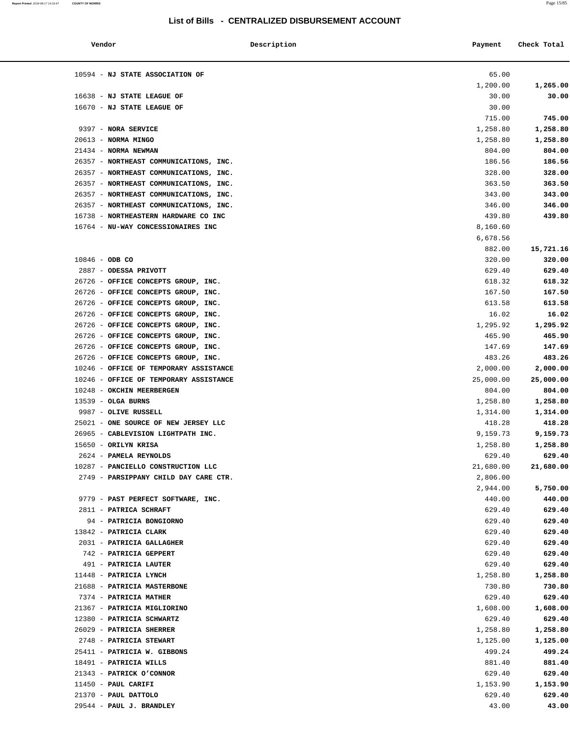| Vendor                                 | Description | Payment            | Check Total |
|----------------------------------------|-------------|--------------------|-------------|
| 10594 - NJ STATE ASSOCIATION OF        |             | 65.00              |             |
|                                        |             | 1,200.00           | 1,265.00    |
| 16638 - NJ STATE LEAGUE OF             |             | 30.00              | 30.00       |
| 16670 - NJ STATE LEAGUE OF             |             | 30.00              |             |
|                                        |             | 715.00             | 745.00      |
| 9397 - NORA SERVICE                    |             | 1,258.80           | 1,258.80    |
| 20613 - NORMA MINGO                    |             | 1,258.80           | 1,258.80    |
| 21434 - NORMA NEWMAN                   |             | 804.00             | 804.00      |
| 26357 - NORTHEAST COMMUNICATIONS, INC. |             | 186.56             | 186.56      |
| 26357 - NORTHEAST COMMUNICATIONS, INC. |             | 328.00             | 328.00      |
| 26357 - NORTHEAST COMMUNICATIONS, INC. |             | 363.50             | 363.50      |
| 26357 - NORTHEAST COMMUNICATIONS, INC. |             | 343.00             | 343.00      |
| 26357 - NORTHEAST COMMUNICATIONS, INC. |             | 346.00             | 346.00      |
| 16738 - NORTHEASTERN HARDWARE CO INC   |             | 439.80             | 439.80      |
| 16764 - NU-WAY CONCESSIONAIRES INC     |             | 8,160.60           |             |
|                                        |             | 6,678.56           |             |
|                                        |             | 882.00             | 15,721.16   |
| $10846 - ODB CO$                       |             | 320.00             | 320.00      |
| 2887 - ODESSA PRIVOTT                  |             | 629.40             | 629.40      |
| 26726 - OFFICE CONCEPTS GROUP, INC.    |             | 618.32             | 618.32      |
| 26726 - OFFICE CONCEPTS GROUP, INC.    |             | 167.50             | 167.50      |
| 26726 - OFFICE CONCEPTS GROUP, INC.    |             | 613.58             | 613.58      |
| 26726 - OFFICE CONCEPTS GROUP, INC.    |             | 16.02              | 16.02       |
| 26726 - OFFICE CONCEPTS GROUP, INC.    |             | 1,295.92           | 1,295.92    |
| 26726 - OFFICE CONCEPTS GROUP, INC.    |             | 465.90             | 465.90      |
| 26726 - OFFICE CONCEPTS GROUP, INC.    |             | 147.69             | 147.69      |
| 26726 - OFFICE CONCEPTS GROUP, INC.    |             | 483.26             | 483.26      |
| 10246 - OFFICE OF TEMPORARY ASSISTANCE |             | 2,000.00           | 2,000.00    |
| 10246 - OFFICE OF TEMPORARY ASSISTANCE |             | 25,000.00          | 25,000.00   |
| 10248 - OKCHIN MEERBERGEN              |             | 804.00             | 804.00      |
| $13539 - OLGA BURNS$                   |             | 1,258.80           | 1,258.80    |
| 9987 - OLIVE RUSSELL                   |             |                    | 1,314.00    |
| 25021 - ONE SOURCE OF NEW JERSEY LLC   |             | 1,314.00<br>418.28 | 418.28      |
| 26965 - CABLEVISION LIGHTPATH INC.     |             | 9,159.73           | 9,159.73    |
|                                        |             |                    |             |
| 15650 - ORILYN KRISA                   |             | 1,258.80           | 1,258.80    |
| 2624 - PAMELA REYNOLDS                 |             | 629.40             | 629.40      |
| 10287 - PANCIELLO CONSTRUCTION LLC     |             | 21,680.00          | 21,680.00   |
| 2749 - PARSIPPANY CHILD DAY CARE CTR.  |             | 2,806.00           |             |
|                                        |             | 2,944.00           | 5,750.00    |
| 9779 - PAST PERFECT SOFTWARE, INC.     |             | 440.00             | 440.00      |
| 2811 - PATRICA SCHRAFT                 |             | 629.40             | 629.40      |
| 94 - PATRICIA BONGIORNO                |             | 629.40             | 629.40      |
| 13842 - PATRICIA CLARK                 |             | 629.40             | 629.40      |
| 2031 - PATRICIA GALLAGHER              |             | 629.40             | 629.40      |
| 742 - PATRICIA GEPPERT                 |             | 629.40             | 629.40      |
| 491 - PATRICIA LAUTER                  |             | 629.40             | 629.40      |
| 11448 - PATRICIA LYNCH                 |             | 1,258.80           | 1,258.80    |
| 21688 - PATRICIA MASTERBONE            |             | 730.80             | 730.80      |
| 7374 - PATRICIA MATHER                 |             | 629.40             | 629.40      |
| 21367 - PATRICIA MIGLIORINO            |             | 1,608.00           | 1,608.00    |
| 12380 - PATRICIA SCHWARTZ              |             | 629.40             | 629.40      |
| 26029 - PATRICIA SHERRER               |             | 1,258.80           | 1,258.80    |
| 2748 - PATRICIA STEWART                |             | 1,125.00           | 1,125.00    |
| 25411 - PATRICIA W. GIBBONS            |             | 499.24             | 499.24      |
| 18491 - PATRICIA WILLS                 |             | 881.40             | 881.40      |
| 21343 - PATRICK O'CONNOR               |             | 629.40             | 629.40      |
| $11450$ - PAUL CARIFI                  |             | 1,153.90           | 1,153.90    |
| $21370$ - PAUL DATTOLO                 |             | 629.40             | 629.40      |
| 29544 - PAUL J. BRANDLEY               |             | 43.00              | 43.00       |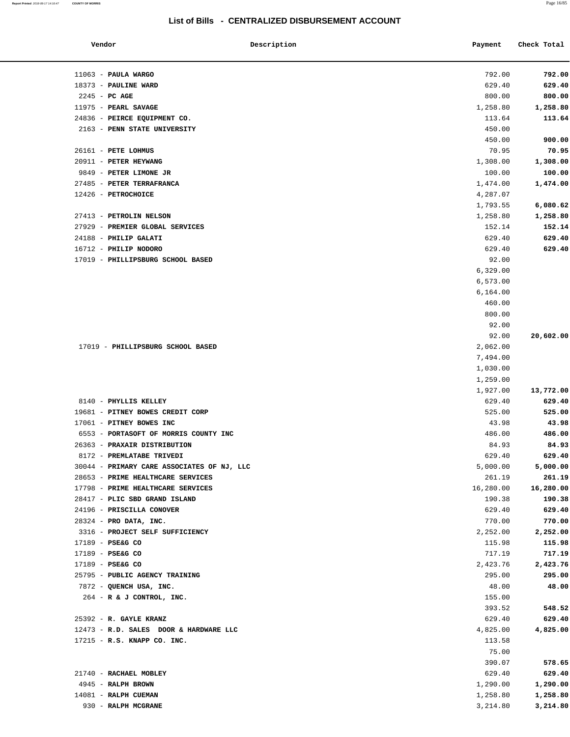| Vendor                                       | Description | Payment            | Check Total        |
|----------------------------------------------|-------------|--------------------|--------------------|
|                                              |             |                    |                    |
| $11063$ - PAULA WARGO                        |             | 792.00             | 792.00             |
| 18373 - PAULINE WARD                         |             | 629.40             | 629.40             |
| $2245$ - PC AGE<br>11975 - PEARL SAVAGE      |             | 800.00             | 800.00             |
|                                              |             | 1,258.80           | 1,258.80           |
| 24836 - PEIRCE EQUIPMENT CO.                 |             | 113.64             | 113.64             |
| 2163 - PENN STATE UNIVERSITY                 |             | 450.00             |                    |
|                                              |             | 450.00             | 900.00             |
| 26161 - PETE LOHMUS<br>20911 - PETER HEYWANG |             | 70.95              | 70.95              |
| 9849 - PETER LIMONE JR                       |             | 1,308.00<br>100.00 | 1,308.00<br>100.00 |
|                                              |             |                    |                    |
| 27485 - PETER TERRAFRANCA                    |             | 1,474.00           | 1,474.00           |
| 12426 - PETROCHOICE                          |             | 4,287.07           |                    |
|                                              |             | 1,793.55           | 6,080.62           |
| 27413 - PETROLIN NELSON                      |             | 1,258.80           | 1,258.80           |
| 27929 - PREMIER GLOBAL SERVICES              |             | 152.14             | 152.14             |
| 24188 - PHILIP GALATI                        |             | 629.40             | 629.40             |
| 16712 - PHILIP NODORO                        |             | 629.40             | 629.40             |
| 17019 - PHILLIPSBURG SCHOOL BASED            |             | 92.00              |                    |
|                                              |             | 6,329.00           |                    |
|                                              |             | 6,573.00           |                    |
|                                              |             | 6,164.00           |                    |
|                                              |             | 460.00             |                    |
|                                              |             | 800.00             |                    |
|                                              |             | 92.00              |                    |
|                                              |             | 92.00              | 20,602.00          |
| 17019 - PHILLIPSBURG SCHOOL BASED            |             | 2,062.00           |                    |
|                                              |             | 7,494.00           |                    |
|                                              |             | 1,030.00           |                    |
|                                              |             | 1,259.00           |                    |
|                                              |             | 1,927.00           | 13,772.00          |
| 8140 - PHYLLIS KELLEY                        |             | 629.40             | 629.40             |
| 19681 - PITNEY BOWES CREDIT CORP             |             | 525.00             | 525.00             |
| 17061 - PITNEY BOWES INC                     |             | 43.98              | 43.98              |
| 6553 - PORTASOFT OF MORRIS COUNTY INC        |             | 486.00             | 486.00             |
| 26363 - PRAXAIR DISTRIBUTION                 |             | 84.93              | 84.93              |
| 8172 - PREMLATABE TRIVEDI                    |             | 629.40             | 629.40             |
| 30044 - PRIMARY CARE ASSOCIATES OF NJ, LLC   |             | 5,000.00           | 5,000.00           |
| 28653 - PRIME HEALTHCARE SERVICES            |             | 261.19             | 261.19             |
| 17798 - PRIME HEALTHCARE SERVICES            |             | 16,280.00          | 16,280.00          |
| 28417 - PLIC SBD GRAND ISLAND                |             | 190.38             | 190.38             |
| 24196 - PRISCILLA CONOVER                    |             | 629.40             | 629.40             |
| 28324 - PRO DATA, INC.                       |             | 770.00             | 770.00             |
| 3316 - PROJECT SELF SUFFICIENCY              |             | 2,252.00           | 2,252.00           |
| 17189 - PSE&G CO                             |             | 115.98             | 115.98             |
| 17189 - PSE&G CO                             |             | 717.19             | 717.19             |
| 17189 - PSE&G CO                             |             | 2,423.76           | 2,423.76           |
| 25795 - PUBLIC AGENCY TRAINING               |             | 295.00             | 295.00             |
| 7872 - QUENCH USA, INC.                      |             | 48.00              | 48.00              |
| 264 - R & J CONTROL, INC.                    |             | 155.00             |                    |
|                                              |             | 393.52             | 548.52             |
| 25392 - R. GAYLE KRANZ                       |             | 629.40             | 629.40             |
| 12473 - R.D. SALES DOOR & HARDWARE LLC       |             | 4,825.00           | 4,825.00           |
| 17215 - R.S. KNAPP CO. INC.                  |             | 113.58             |                    |
|                                              |             | 75.00              |                    |
|                                              |             | 390.07             | 578.65             |
| 21740 - RACHAEL MOBLEY                       |             | 629.40             | 629.40             |
| 4945 - RALPH BROWN                           |             | 1,290.00           | 1,290.00           |
| 14081 - RALPH CUEMAN                         |             | 1,258.80           | 1,258.80           |
| 930 - RALPH MCGRANE                          |             | 3,214.80           | 3,214.80           |
|                                              |             |                    |                    |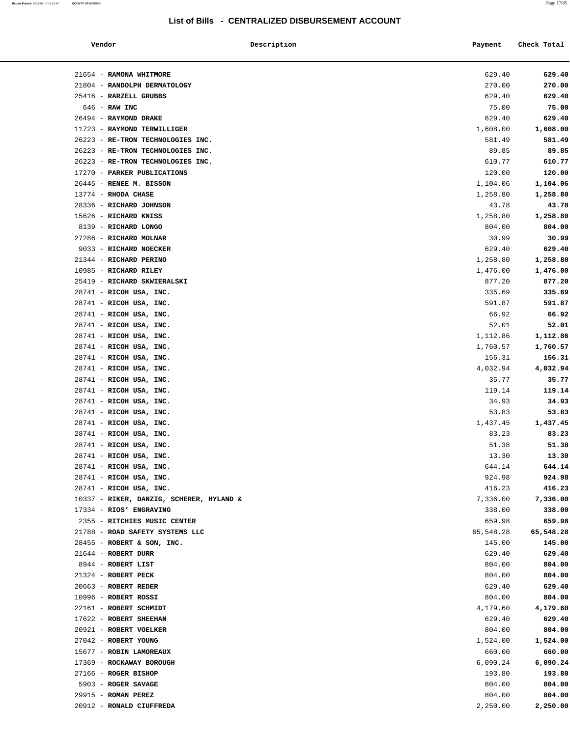| Vendor                                                                 | Description | Payment            | Check Total        |
|------------------------------------------------------------------------|-------------|--------------------|--------------------|
|                                                                        |             |                    |                    |
| 21654 - RAMONA WHITMORE                                                |             | 629.40             | 629.40             |
| 21804 - RANDOLPH DERMATOLOGY                                           |             | 270.00             | 270.00             |
| 25416 - RARZELL GRUBBS                                                 |             | 629.40             | 629.40             |
| $646$ - RAW INC                                                        |             | 75.00              | 75.00              |
| 26494 - RAYMOND DRAKE                                                  |             | 629.40             | 629.40             |
| 11723 - RAYMOND TERWILLIGER                                            |             | 1,608.00           | 1,608.00<br>581.49 |
| 26223 - RE-TRON TECHNOLOGIES INC.<br>26223 - RE-TRON TECHNOLOGIES INC. |             | 581.49<br>89.85    | 89.85              |
| 26223 - RE-TRON TECHNOLOGIES INC.                                      |             | 610.77             | 610.77             |
| 17270 - PARKER PUBLICATIONS                                            |             | 120.00             | 120.00             |
| 26445 - RENEE M. BISSON                                                |             | 1,104.06           | 1,104.06           |
| 13774 - RHODA CHASE                                                    |             | 1,258.80           | 1,258.80           |
| 28336 - RICHARD JOHNSON                                                |             | 43.78              | 43.78              |
| 15626 - RICHARD KNISS                                                  |             | 1,258.80           | 1,258.80           |
| 8139 - RICHARD LONGO                                                   |             | 804.00             | 804.00             |
| 27286 - RICHARD MOLNAR                                                 |             | 30.99              | 30.99              |
| 9033 - RICHARD NOECKER                                                 |             | 629.40             | 629.40             |
| 21344 - RICHARD PERINO                                                 |             | 1,258.80           | 1,258.80           |
| 10985 - RICHARD RILEY                                                  |             | 1,476.00           | 1,476.00           |
| 25419 - RICHARD SKWIERALSKI                                            |             | 877.20             | 877.20             |
| 28741 - RICOH USA, INC.                                                |             | 335.69             | 335.69             |
| 28741 - RICOH USA, INC.                                                |             | 591.87             | 591.87             |
| 28741 - RICOH USA, INC.                                                |             | 66.92              | 66.92              |
| 28741 - RICOH USA, INC.                                                |             | 52.01              | 52.01              |
| 28741 - RICOH USA, INC.                                                |             | 1,112.86           | 1,112.86           |
| 28741 - RICOH USA, INC.                                                |             | 1,760.57           | 1,760.57           |
| 28741 - RICOH USA, INC.                                                |             | 156.31             | 156.31             |
| 28741 - RICOH USA, INC.                                                |             | 4,032.94           | 4,032.94           |
| 28741 - RICOH USA, INC.                                                |             | 35.77              | 35.77              |
| 28741 - RICOH USA, INC.                                                |             | 119.14             | 119.14             |
| 28741 - RICOH USA, INC.                                                |             | 34.93              | 34.93              |
| 28741 - RICOH USA, INC.                                                |             | 53.83              | 53.83              |
| 28741 - RICOH USA, INC.                                                |             | 1,437.45           | 1,437.45           |
| 28741 - RICOH USA, INC.                                                |             | 83.23              | 83.23              |
| 28741 - RICOH USA, INC.                                                |             | 51.38              | 51.38              |
| 28741 - RICOH USA, INC.                                                |             | 13.30              | 13.30<br>644.14    |
| 28741 - RICOH USA, INC.<br>28741 - RICOH USA, INC.                     |             | 644.14<br>924.98   | 924.98             |
| 28741 - RICOH USA, INC.                                                |             | 416.23             | 416.23             |
| 10337 - RIKER, DANZIG, SCHERER, HYLAND &                               |             | 7,336.00           | 7,336.00           |
| 17334 - RIOS' ENGRAVING                                                |             | 338.00             | 338.00             |
| 2355 - RITCHIES MUSIC CENTER                                           |             | 659.98             | 659.98             |
| 21788 - ROAD SAFETY SYSTEMS LLC                                        |             | 65,548.28          | 65,548.28          |
| $28455$ - ROBERT & SON, INC.                                           |             | 145.00             | 145.00             |
| $21644$ - ROBERT DURR                                                  |             | 629.40             | 629.40             |
| 8944 - ROBERT LIST                                                     |             | 804.00             | 804.00             |
| 21324 - ROBERT PECK                                                    |             | 804.00             | 804.00             |
| 20663 - ROBERT REDER                                                   |             | 629.40             | 629.40             |
| 10996 - ROBERT ROSSI                                                   |             | 804.00             | 804.00             |
| 22161 - ROBERT SCHMIDT                                                 |             | 4,179.60           | 4,179.60           |
| 17622 - ROBERT SHEEHAN                                                 |             | 629.40             | 629.40             |
| 20921 - ROBERT VOELKER                                                 |             | 804.00             | 804.00             |
| 27042 - ROBERT YOUNG                                                   |             | 1,524.00           | 1,524.00           |
| 15677 - ROBIN LAMOREAUX                                                |             | 660.00             | 660.00             |
| 17369 - ROCKAWAY BOROUGH                                               |             | 6,090.24           | 6,090.24           |
| 27166 - ROGER BISHOP                                                   |             | 193.80             | 193.80             |
| 5903 - ROGER SAVAGE                                                    |             | 804.00             | 804.00             |
| $29915$ - ROMAN PEREZ<br>20912 - RONALD CIUFFREDA                      |             | 804.00<br>2,250.00 | 804.00<br>2,250.00 |
|                                                                        |             |                    |                    |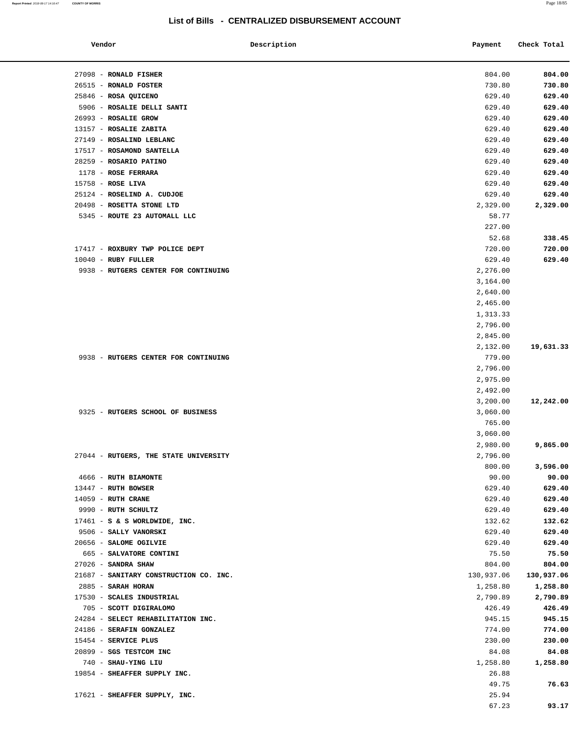| Vendor                                                    | Description | Payment         | Check Total |
|-----------------------------------------------------------|-------------|-----------------|-------------|
| 27098 - RONALD FISHER                                     |             | 804.00          | 804.00      |
| 26515 - RONALD FOSTER                                     |             | 730.80          | 730.80      |
| 25846 - ROSA QUICENO                                      |             | 629.40          | 629.40      |
| 5906 - ROSALIE DELLI SANTI                                |             | 629.40          | 629.40      |
| 26993 - ROSALIE GROW                                      |             | 629.40          | 629.40      |
| 13157 - ROSALIE ZABITA                                    |             | 629.40          | 629.40      |
| 27149 - ROSALIND LEBLANC                                  |             | 629.40          | 629.40      |
| 17517 - ROSAMOND SANTELLA                                 |             | 629.40          | 629.40      |
| 28259 - ROSARIO PATINO                                    |             | 629.40          | 629.40      |
| 1178 - ROSE FERRARA                                       |             | 629.40          | 629.40      |
| 15758 - ROSE LIVA                                         |             | 629.40          | 629.40      |
| 25124 - ROSELIND A. CUDJOE                                |             | 629.40          | 629.40      |
|                                                           |             |                 |             |
| 20498 - ROSETTA STONE LTD<br>5345 - ROUTE 23 AUTOMALL LLC |             | 2,329.00        | 2,329.00    |
|                                                           |             | 58.77<br>227.00 |             |
|                                                           |             |                 |             |
|                                                           |             | 52.68           | 338.45      |
| 17417 - ROXBURY TWP POLICE DEPT                           |             | 720.00          | 720.00      |
| $10040$ - RUBY FULLER                                     |             | 629.40          | 629.40      |
| 9938 - RUTGERS CENTER FOR CONTINUING                      |             | 2,276.00        |             |
|                                                           |             | 3,164.00        |             |
|                                                           |             | 2,640.00        |             |
|                                                           |             | 2,465.00        |             |
|                                                           |             | 1,313.33        |             |
|                                                           |             | 2,796.00        |             |
|                                                           |             | 2,845.00        |             |
|                                                           |             | 2,132.00        | 19,631.33   |
| 9938 - RUTGERS CENTER FOR CONTINUING                      |             | 779.00          |             |
|                                                           |             | 2,796.00        |             |
|                                                           |             | 2,975.00        |             |
|                                                           |             | 2,492.00        |             |
|                                                           |             | 3,200.00        | 12,242.00   |
| 9325 - RUTGERS SCHOOL OF BUSINESS                         |             | 3,060.00        |             |
|                                                           |             | 765.00          |             |
|                                                           |             | 3,060.00        |             |
|                                                           |             | 2,980.00        | 9,865.00    |
| 27044 - RUTGERS, THE STATE UNIVERSITY                     |             | 2,796.00        |             |
|                                                           |             | 800.00          | 3,596.00    |
| 4666 - RUTH BIAMONTE                                      |             | 90.00           | 90.00       |
| 13447 - RUTH BOWSER                                       |             | 629.40          | 629.40      |
| $14059$ - RUTH CRANE                                      |             | 629.40          | 629.40      |
| 9990 - RUTH SCHULTZ                                       |             | 629.40          | 629.40      |
| 17461 - S & S WORLDWIDE, INC.                             |             | 132.62          | 132.62      |
| 9506 - SALLY VANORSKI                                     |             | 629.40          | 629.40      |
| 20656 - SALOME OGILVIE                                    |             | 629.40          | 629.40      |
| 665 - SALVATORE CONTINI                                   |             | 75.50           | 75.50       |
| 27026 - SANDRA SHAW                                       |             | 804.00          | 804.00      |
| 21687 - SANITARY CONSTRUCTION CO. INC.                    |             | 130,937.06      | 130,937.06  |
| 2885 - SARAH HORAN                                        |             | 1,258.80        | 1,258.80    |
| 17530 - SCALES INDUSTRIAL                                 |             | 2,790.89        | 2,790.89    |
| 705 - SCOTT DIGIRALOMO                                    |             | 426.49          | 426.49      |
| 24284 - SELECT REHABILITATION INC.                        |             | 945.15          | 945.15      |
| 24186 - SERAFIN GONZALEZ                                  |             | 774.00          | 774.00      |
| 15454 - SERVICE PLUS                                      |             | 230.00          | 230.00      |
| 20899 - SGS TESTCOM INC                                   |             | 84.08           | 84.08       |
| 740 - SHAU-YING LIU                                       |             | 1,258.80        | 1,258.80    |
|                                                           |             |                 |             |
| 19854 - SHEAFFER SUPPLY INC.                              |             | 26.88           |             |
|                                                           |             | 49.75           | 76.63       |
| 17621 - SHEAFFER SUPPLY, INC.                             |             | 25.94           |             |
|                                                           |             | 67.23           | 93.17       |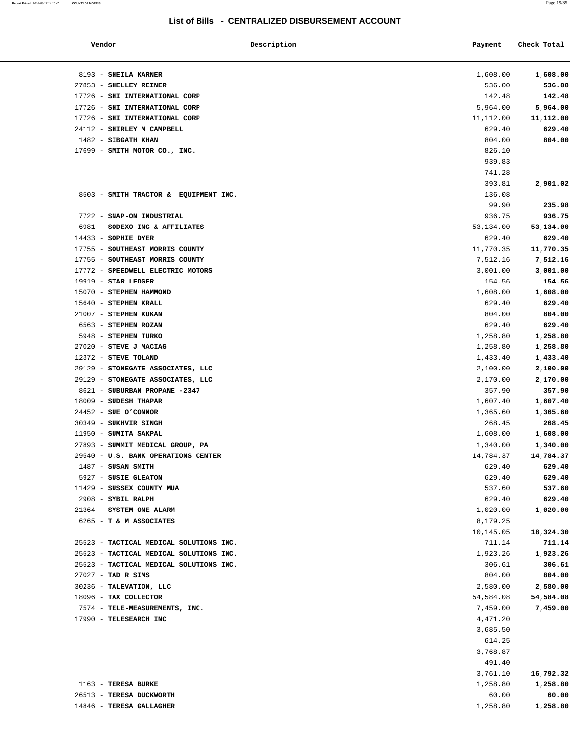**Report Printed** 2018-08-17 14:16:47 **COUNTY OF MORRIS** Page 19/85

### **List of Bills - CENTRALIZED DISBURSEMENT ACCOUNT**

| Vendor                                  | Description | Payment   | Check Total |
|-----------------------------------------|-------------|-----------|-------------|
| 8193 - SHEILA KARNER                    |             | 1,608.00  | 1,608.00    |
| 27853 - SHELLEY REINER                  |             | 536.00    | 536.00      |
| 17726 - SHI INTERNATIONAL CORP          |             | 142.48    | 142.48      |
| 17726 - SHI INTERNATIONAL CORP          |             | 5,964.00  | 5,964.00    |
| 17726 - SHI INTERNATIONAL CORP          |             | 11,112.00 | 11,112.00   |
| 24112 - SHIRLEY M CAMPBELL              |             | 629.40    | 629.40      |
| 1482 - SIBGATH KHAN                     |             | 804.00    | 804.00      |
| 17699 - SMITH MOTOR CO., INC.           |             | 826.10    |             |
|                                         |             | 939.83    |             |
|                                         |             | 741.28    |             |
|                                         |             | 393.81    | 2,901.02    |
| 8503 - SMITH TRACTOR & EQUIPMENT INC.   |             | 136.08    |             |
|                                         |             | 99.90     | 235.98      |
| 7722 - SNAP-ON INDUSTRIAL               |             | 936.75    | 936.75      |
| 6981 - SODEXO INC & AFFILIATES          |             | 53,134.00 | 53,134.00   |
| $14433$ - SOPHIE DYER                   |             | 629.40    | 629.40      |
|                                         |             | 11,770.35 |             |
| 17755 - SOUTHEAST MORRIS COUNTY         |             | 7,512.16  | 11,770.35   |
| 17755 - SOUTHEAST MORRIS COUNTY         |             | 3,001.00  | 7,512.16    |
| 17772 - SPEEDWELL ELECTRIC MOTORS       |             |           | 3,001.00    |
| $19919$ - STAR LEDGER                   |             | 154.56    | 154.56      |
| 15070 - STEPHEN HAMMOND                 |             | 1,608.00  | 1,608.00    |
| 15640 - STEPHEN KRALL                   |             | 629.40    | 629.40      |
| 21007 - STEPHEN KUKAN                   |             | 804.00    | 804.00      |
| 6563 - STEPHEN ROZAN                    |             | 629.40    | 629.40      |
| 5948 - STEPHEN TURKO                    |             | 1,258.80  | 1,258.80    |
| 27020 - STEVE J MACIAG                  |             | 1,258.80  | 1,258.80    |
| 12372 - STEVE TOLAND                    |             | 1,433.40  | 1,433.40    |
| 29129 - STONEGATE ASSOCIATES, LLC       |             | 2,100.00  | 2,100.00    |
| 29129 - STONEGATE ASSOCIATES, LLC       |             | 2,170.00  | 2,170.00    |
| 8621 - SUBURBAN PROPANE -2347           |             | 357.90    | 357.90      |
| 18009 - SUDESH THAPAR                   |             | 1,607.40  | 1,607.40    |
| $24452$ - SUE O'CONNOR                  |             | 1,365.60  | 1,365.60    |
| 30349 - SUKHVIR SINGH                   |             | 268.45    | 268.45      |
| 11950 - SUMITA SAKPAL                   |             | 1,608.00  | 1,608.00    |
| 27893 - SUMMIT MEDICAL GROUP, PA        |             | 1,340.00  | 1,340.00    |
| 29540 - U.S. BANK OPERATIONS CENTER     |             | 14,784.37 | 14,784.37   |
| $1487$ - SUSAN SMITH                    |             | 629.40    | 629.40      |
| 5927 - SUSIE GLEATON                    |             | 629.40    | 629.40      |
| 11429 - SUSSEX COUNTY MUA               |             | 537.60    | 537.60      |
| 2908 - SYBIL RALPH                      |             | 629.40    | 629.40      |
| 21364 - SYSTEM ONE ALARM                |             | 1,020.00  | 1,020.00    |
| 6265 - T & M ASSOCIATES                 |             | 8,179.25  |             |
|                                         |             | 10,145.05 | 18,324.30   |
| 25523 - TACTICAL MEDICAL SOLUTIONS INC. |             | 711.14    | 711.14      |
| 25523 - TACTICAL MEDICAL SOLUTIONS INC. |             | 1,923.26  | 1,923.26    |
| 25523 - TACTICAL MEDICAL SOLUTIONS INC. |             | 306.61    | 306.61      |
| $27027$ - TAD R SIMS                    |             | 804.00    | 804.00      |
| 30236 - TALEVATION, LLC                 |             | 2,580.00  | 2,580.00    |
| 18096 - TAX COLLECTOR                   |             | 54,584.08 | 54,584.08   |
| 7574 - TELE-MEASUREMENTS, INC.          |             | 7,459.00  | 7,459.00    |
| 17990 - TELESEARCH INC                  |             | 4,471.20  |             |
|                                         |             | 3,685.50  |             |
|                                         |             | 614.25    |             |
|                                         |             | 3,768.87  |             |
|                                         |             | 491.40    |             |
|                                         |             | 3,761.10  | 16,792.32   |
| 1163 - TERESA BURKE                     |             | 1,258.80  | 1,258.80    |
| 26513 - TERESA DUCKWORTH                |             | 60.00     | 60.00       |
| 14846 - TERESA GALLAGHER                |             | 1,258.80  | 1,258.80    |
|                                         |             |           |             |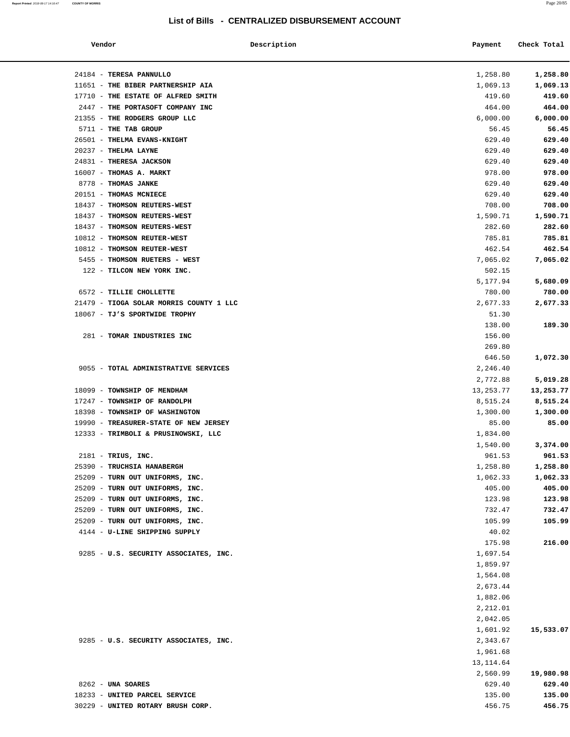**Report Printed** 2018-08-17 14:16:47 **COUNTY OF MORRIS** Page 20/85

### **List of Bills - CENTRALIZED DISBURSEMENT ACCOUNT**

| Vendor                                  | Description | Payment   | Check Total |
|-----------------------------------------|-------------|-----------|-------------|
| 24184 - TERESA PANNULLO                 |             | 1,258.80  | 1,258.80    |
| 11651 - THE BIBER PARTNERSHIP AIA       |             | 1,069.13  | 1,069.13    |
| 17710 - THE ESTATE OF ALFRED SMITH      |             | 419.60    | 419.60      |
| 2447 - THE PORTASOFT COMPANY INC        |             | 464.00    | 464.00      |
| 21355 - THE RODGERS GROUP LLC           |             | 6,000.00  | 6,000.00    |
| 5711 - THE TAB GROUP                    |             | 56.45     | 56.45       |
| 26501 - THELMA EVANS-KNIGHT             |             | 629.40    | 629.40      |
| $20237$ - THELMA LAYNE                  |             | 629.40    | 629.40      |
| 24831 - THERESA JACKSON                 |             | 629.40    | 629.40      |
| 16007 - THOMAS A. MARKT                 |             | 978.00    | 978.00      |
| 8778 - THOMAS JANKE                     |             | 629.40    | 629.40      |
| 20151 - THOMAS MCNIECE                  |             | 629.40    | 629.40      |
| 18437 - THOMSON REUTERS-WEST            |             | 708.00    | 708.00      |
| 18437 - THOMSON REUTERS-WEST            |             | 1,590.71  | 1,590.71    |
| 18437 - THOMSON REUTERS-WEST            |             | 282.60    | 282.60      |
| 10812 - THOMSON REUTER-WEST             |             | 785.81    | 785.81      |
| 10812 - THOMSON REUTER-WEST             |             | 462.54    | 462.54      |
| 5455 - THOMSON RUETERS - WEST           |             | 7,065.02  | 7,065.02    |
| 122 - TILCON NEW YORK INC.              |             | 502.15    |             |
|                                         |             | 5,177.94  | 5,680.09    |
| 6572 - TILLIE CHOLLETTE                 |             | 780.00    | 780.00      |
| 21479 - TIOGA SOLAR MORRIS COUNTY 1 LLC |             | 2,677.33  | 2,677.33    |
| 18067 - TJ'S SPORTWIDE TROPHY           |             | 51.30     |             |
|                                         |             | 138.00    | 189.30      |
| 281 - TOMAR INDUSTRIES INC              |             | 156.00    |             |
|                                         |             | 269.80    |             |
|                                         |             | 646.50    | 1,072.30    |
| 9055 - TOTAL ADMINISTRATIVE SERVICES    |             | 2,246.40  |             |
|                                         |             | 2,772.88  | 5,019.28    |
| 18099 - TOWNSHIP OF MENDHAM             |             | 13,253.77 | 13,253.77   |
| 17247 - TOWNSHIP OF RANDOLPH            |             | 8,515.24  | 8,515.24    |
| 18398 - TOWNSHIP OF WASHINGTON          |             | 1,300.00  | 1,300.00    |
| 19990 - TREASURER-STATE OF NEW JERSEY   |             | 85.00     | 85.00       |
| 12333 - TRIMBOLI & PRUSINOWSKI, LLC     |             | 1,834.00  |             |
|                                         |             | 1,540.00  | 3,374.00    |
| 2181 - TRIUS, INC.                      |             | 961.53    | 961.53      |
| 25390 - TRUCHSIA HANABERGH              |             | 1,258.80  | 1,258.80    |
| 25209 - TURN OUT UNIFORMS, INC.         |             | 1,062.33  | 1,062.33    |
| 25209 - TURN OUT UNIFORMS, INC.         |             | 405.00    | 405.00      |
| 25209 - TURN OUT UNIFORMS, INC.         |             | 123.98    | 123.98      |
| 25209 - TURN OUT UNIFORMS, INC.         |             | 732.47    | 732.47      |
| 25209 - TURN OUT UNIFORMS, INC.         |             | 105.99    | 105.99      |
| 4144 - U-LINE SHIPPING SUPPLY           |             | 40.02     |             |
|                                         |             | 175.98    | 216.00      |
| 9285 - U.S. SECURITY ASSOCIATES, INC.   |             | 1,697.54  |             |
|                                         |             | 1,859.97  |             |
|                                         |             | 1,564.08  |             |
|                                         |             | 2,673.44  |             |
|                                         |             | 1,882.06  |             |
|                                         |             | 2,212.01  |             |
|                                         |             | 2,042.05  |             |
|                                         |             | 1,601.92  | 15,533.07   |
| 9285 - U.S. SECURITY ASSOCIATES, INC.   |             | 2,343.67  |             |
|                                         |             | 1,961.68  |             |
|                                         |             | 13,114.64 |             |
|                                         |             | 2,560.99  | 19,980.98   |
| 8262 - UNA SOARES                       |             | 629.40    | 629.40      |
| 18233 - UNITED PARCEL SERVICE           |             | 135.00    | 135.00      |
| 30229 - UNITED ROTARY BRUSH CORP.       |             | 456.75    | 456.75      |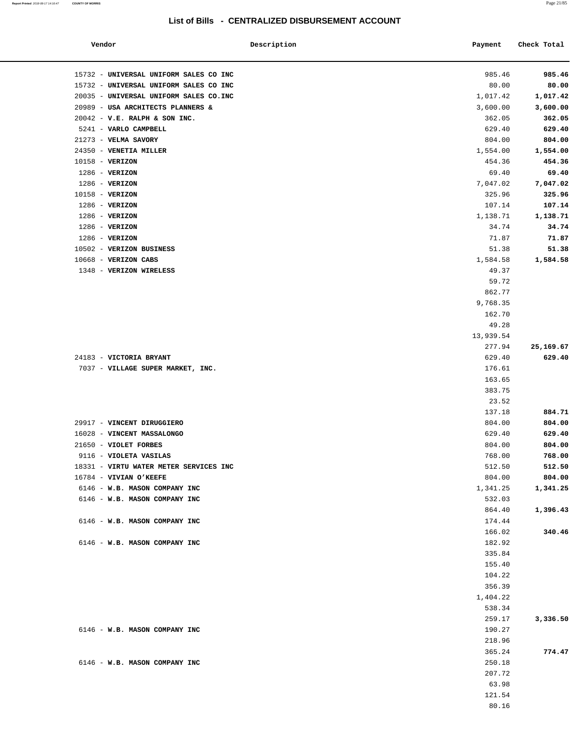#### **Report Printed** 2018-08-17 14:16:47 **COUNTY OF MORRIS** Page 21/85

### **List of Bills - CENTRALIZED DISBURSEMENT ACCOUNT**

| Vendor                                  | Description | Payment            | Check Total |
|-----------------------------------------|-------------|--------------------|-------------|
| 15732 - UNIVERSAL UNIFORM SALES CO INC  |             | 985.46             | 985.46      |
| 15732 - UNIVERSAL UNIFORM SALES CO INC  |             | 80.00              | 80.00       |
| 20035 - UNIVERSAL UNIFORM SALES CO. INC |             | 1,017.42           | 1,017.42    |
| 20989 - USA ARCHITECTS PLANNERS &       |             | 3,600.00           | 3,600.00    |
| 20042 - V.E. RALPH & SON INC.           |             | 362.05             | 362.05      |
| 5241 - VARLO CAMPBELL                   |             | 629.40             | 629.40      |
| 21273 - VELMA SAVORY                    |             | 804.00             | 804.00      |
| 24350 - VENETIA MILLER                  |             | 1,554.00           | 1,554.00    |
| 10158 - VERIZON                         |             | 454.36             | 454.36      |
| $1286$ - VERIZON                        |             | 69.40              | 69.40       |
| 1286 - VERIZON                          |             | 7,047.02           | 7,047.02    |
| 10158 - VERIZON                         |             | 325.96             | 325.96      |
| $1286$ - VERIZON                        |             | 107.14             | 107.14      |
| $1286$ - VERIZON                        |             | 1,138.71           | 1,138.71    |
| $1286$ - VERIZON                        |             | 34.74              | 34.74       |
| $1286$ - VERIZON                        |             | 71.87              | 71.87       |
| 10502 - VERIZON BUSINESS                |             | 51.38              | 51.38       |
| $10668$ - VERIZON CABS                  |             | 1,584.58           | 1,584.58    |
| 1348 - VERIZON WIRELESS                 |             | 49.37              |             |
|                                         |             | 59.72              |             |
|                                         |             | 862.77             |             |
|                                         |             | 9,768.35<br>162.70 |             |
|                                         |             | 49.28              |             |
|                                         |             | 13,939.54          |             |
|                                         |             | 277.94             | 25,169.67   |
| 24183 - VICTORIA BRYANT                 |             | 629.40             | 629.40      |
| 7037 - VILLAGE SUPER MARKET, INC.       |             | 176.61             |             |
|                                         |             | 163.65             |             |
|                                         |             | 383.75             |             |
|                                         |             | 23.52              |             |
|                                         |             | 137.18             | 884.71      |
| 29917 - VINCENT DIRUGGIERO              |             | 804.00             | 804.00      |
| 16028 - VINCENT MASSALONGO              |             | 629.40             | 629.40      |
| 21650 - VIOLET FORBES                   |             | 804.00             | 804.00      |
| 9116 - VIOLETA VASILAS                  |             | 768.00             | 768.00      |
| 18331 - VIRTU WATER METER SERVICES INC  |             | 512.50             | 512.50      |
| 16784 - VIVIAN O'KEEFE                  |             | 804.00             | 804.00      |
| 6146 - W.B. MASON COMPANY INC           |             | 1,341.25           | 1,341.25    |
| 6146 - W.B. MASON COMPANY INC           |             | 532.03             |             |
|                                         |             | 864.40             | 1,396.43    |
| 6146 - W.B. MASON COMPANY INC           |             | 174.44             |             |
|                                         |             | 166.02             | 340.46      |
| 6146 - W.B. MASON COMPANY INC           |             | 182.92             |             |
|                                         |             | 335.84             |             |
|                                         |             | 155.40             |             |
|                                         |             | 104.22             |             |
|                                         |             | 356.39             |             |
|                                         |             | 1,404.22           |             |
|                                         |             | 538.34             |             |
|                                         |             | 259.17             | 3,336.50    |
| 6146 - W.B. MASON COMPANY INC           |             | 190.27             |             |
|                                         |             | 218.96             |             |
|                                         |             | 365.24             | 774.47      |
|                                         |             |                    |             |
| 6146 - W.B. MASON COMPANY INC           |             | 250.18             |             |
|                                         |             | 207.72             |             |
|                                         |             | 63.98<br>121.54    |             |